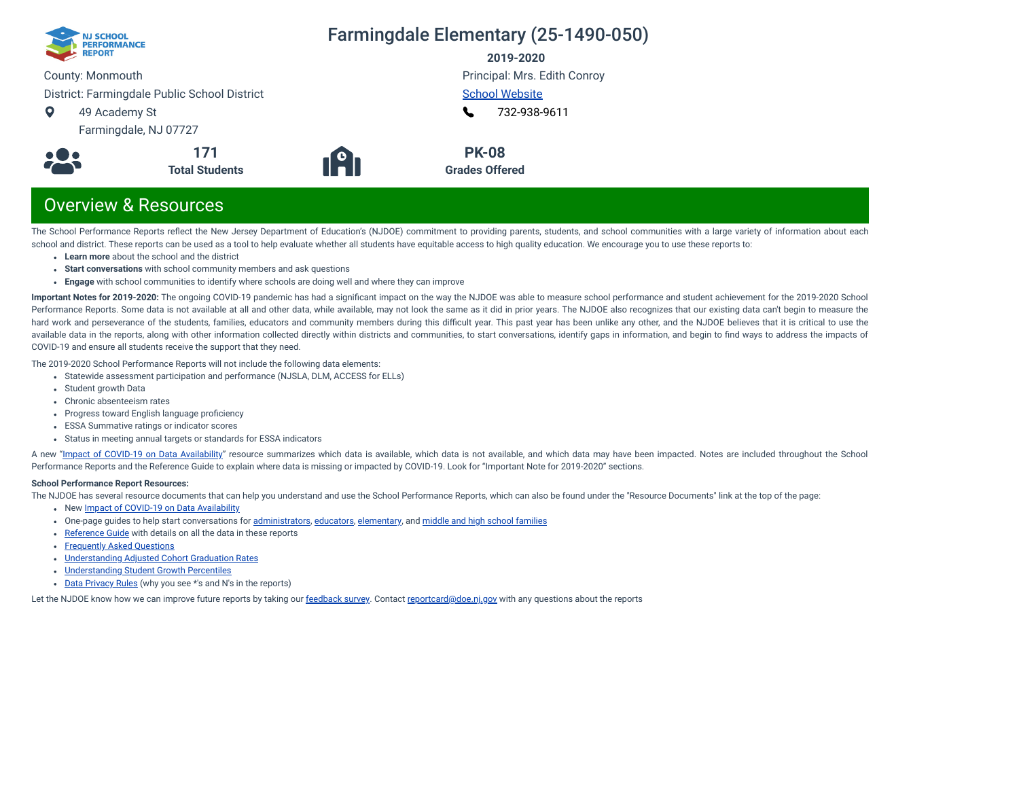

### Farmingdale Elementary (25-1490-050)

**2019-2020**

Principal: Mrs. Edith Conroy

County: Monmouth

District: Farmingdale Public School District

 $\bullet$ 49 Academy St

Farmingdale, NJ 07727



**191** 

[School Website](http://www.farmingdaleschool.com/) [732-938-9611](tel:+732-938-9611) L

**PK-08 Grades Offered**

## Overview & Resources

The School Performance Reports reflect the New Jersey Department of Education's (NJDOE) commitment to providing parents, students, and school communities with a large variety of information about each school and district. These reports can be used as a tool to help evaluate whether all students have equitable access to high quality education. We encourage you to use these reports to:

- **Learn more** about the school and the district
- **Start conversations** with school community members and ask questions

**171 Total Students**

**Engage** with school communities to identify where schools are doing well and where they can improve

**Important Notes for 2019-2020:** The ongoing COVID-19 pandemic has had a signicant impact on the way the NJDOE was able to measure school performance and student achievement for the 2019-2020 School Performance Reports. Some data is not available at all and other data, while available, may not look the same as it did in prior years. The NJDOE also recognizes that our existing data can't begin to measure the hard work and perseverance of the students, families, educators and community members during this difficult year. This past year has been unlike any other, and the NJDOE believes that it is critical to use the available data in the reports, along with other information collected directly within districts and communities, to start conversations, identify gaps in information, and begin to find ways to address the impacts of COVID-19 and ensure all students receive the support that they need.

The 2019-2020 School Performance Reports will not include the following data elements:

- Statewide assessment participation and performance (NJSLA, DLM, ACCESS for ELLs)
- Student growth Data
- Chronic absenteeism rates
- Progress toward English language proficiency
- ESSA Summative ratings or indicator scores
- Status in meeting annual targets or standards for ESSA indicators

A new "Impact of [COVID-19 on](https://www.nj.gov/education/schoolperformance/resources/docs/2019-20%20School%20Performance%20Reports%20-%20Impact%20of%20COVID-19%20on%20Data%20Availability.pdf) Data Availability" resource summarizes which data is available, which data is not available, and which data may have been impacted. Notes are included throughout the School Performance Reports and the Reference Guide to explain where data is missing or impacted by COVID-19. Look for "Important Note for 2019-2020" sections.

#### **School Performance Report Resources:**

The NJDOE has several resource documents that can help you understand and use the School Performance Reports, which can also be found under the "Resource Documents" link at the top of the page:

- New Impact of [COVID-19 on](https://www.nj.gov/education/schoolperformance/resources/docs/2019-20%20School%20Performance%20Reports%20-%20Impact%20of%20COVID-19%20on%20Data%20Availability.pdf) Data Availability
- One-page guides to help start conversations for [administrators](https://www.nj.gov/education/schoolperformance/resources/docs/2019-20%20School%20Performance%20Reports%20-%20One-Page%20Guides%20-%20Administrators.pdf), [educators](https://www.nj.gov/education/schoolperformance/resources/docs/2019-20%20School%20Performance%20Reports%20-%20One-Page%20Guides%20-%20Educators.pdf), [elementary](https://www.nj.gov/education/schoolperformance/resources/docs/2019-20%20School%20Performance%20Reports%20-%20One-Page%20Guides%20-%20FamiliesCommunities.pdf), and middle and high school [families](https://www.nj.gov/education/schoolperformance/resources/docs/2019-20%20School%20Performance%20Reports%20-%20One-Page%20Guides%20-%20MS%20and%20HS.pdf)
- [Reference](https://rc.doe.state.nj.us/Documents/1920/ReferenceGuide.pdf) Guide with details on all the data in these reports
- [Frequently](https://rc.doe.state.nj.us/Documents/1920/FAQs.pdf) Asked Questions
- [Understanding](https://www.nj.gov/education/schoolperformance/grad/docs/Understanding%20Adjusted%20Cohort%20Graduation%20Rates.pdf) Adjusted Cohort Graduation Rates
- [Understanding](https://www.nj.gov/education/schoolperformance/growth/Understanding%20Median%20Student%20Growth%20Percentiles.pdf) Student Growth Percentiles
- Data [Privacy](https://rc.doe.state.nj.us/Documents/1920/DataPrivacyRules.pdf) Rules (why you see \*'s and N's in the reports)

Let the NJDOE know how we can improve future reports by taking our [feedback](https://www.surveymonkey.com/r/2019-20SPR) survey. Contact [reportcard@doe.nj.gov](mailto:reportcard@doe.nj.gov) with any questions about the reports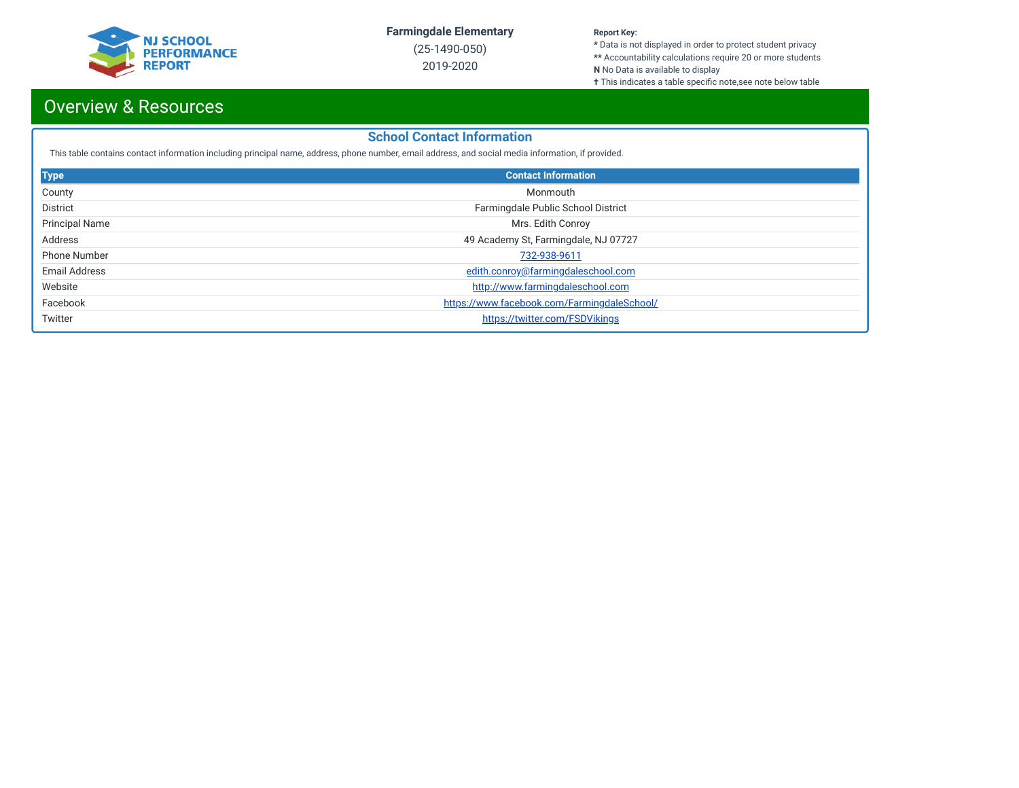

(25-1490-050) 2019-2020

#### **Report Key:**

**\*** Data is not displayed in order to protect student privacy **\*\*** Accountability calculations require 20 or more students

**N** No Data is available to display

**†** This indicates a table specific note,see note below table

## Overview & Resources

#### **School Contact Information**

This table contains contact information including principal name, address, phone number, email address, and social media information, if provided.

| <b>Type</b>           | <b>Contact Information</b>                  |  |  |  |  |  |
|-----------------------|---------------------------------------------|--|--|--|--|--|
| County                | Monmouth                                    |  |  |  |  |  |
| District              | Farmingdale Public School District          |  |  |  |  |  |
| <b>Principal Name</b> | Mrs. Edith Conroy                           |  |  |  |  |  |
| Address               | 49 Academy St, Farmingdale, NJ 07727        |  |  |  |  |  |
| <b>Phone Number</b>   | 732-938-9611                                |  |  |  |  |  |
| Email Address         | edith.conroy@farmingdaleschool.com          |  |  |  |  |  |
| Website               | http://www.farmingdaleschool.com            |  |  |  |  |  |
| Facebook              | https://www.facebook.com/FarmingdaleSchool/ |  |  |  |  |  |
| Twitter               | https://twitter.com/FSDVikings              |  |  |  |  |  |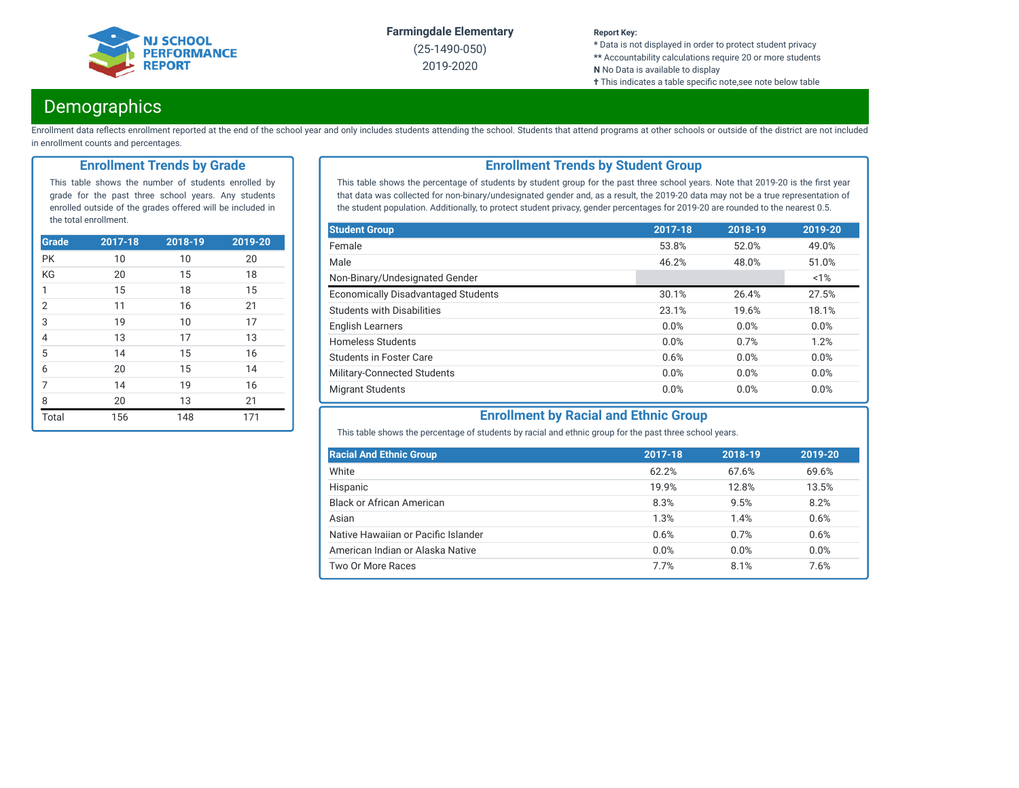

(25-1490-050) 2019-2020

#### **Report Key:**

**\*** Data is not displayed in order to protect student privacy **\*\*** Accountability calculations require 20 or more students

- **N** No Data is available to display
- **†** This indicates a table specific note,see note below table

### **Demographics**

Enrollment data reflects enrollment reported at the end of the school year and only includes students attending the school. Students that attend programs at other schools or outside of the district are not included in enrollment counts and percentages.

#### **Enrollment Trends by Grade**

This table shows the number of students enrolled by grade for the past three school years. Any students enrolled outside of the grades offered will be included in the total enrollment.

| <b>Grade</b>   | 2017-18 | 2018-19 | 2019-20 |
|----------------|---------|---------|---------|
| <b>PK</b>      | 10      | 10      | 20      |
| KG             | 20      | 15      | 18      |
| $\mathbf{1}$   | 15      | 18      | 15      |
| $\overline{2}$ | 11      | 16      | 21      |
| $\frac{3}{4}$  | 19      | 10      | 17      |
|                | 13      | 17      | 13      |
| $\overline{5}$ | 14      | 15      | 16      |
| $\overline{6}$ | 20      | 15      | 14      |
| $\overline{7}$ | 14      | 19      | 16      |
| 8              | 20      | 13      | 21      |
| Total          | 156     | 148     | 171     |

#### **Enrollment Trends by Student Group**

This table shows the percentage of students by student group for the past three school years. Note that 2019-20 is the first year that data was collected for non-binary/undesignated gender and, as a result, the 2019-20 data may not be a true representation of the student population. Additionally, to protect student privacy, gender percentages for 2019-20 are rounded to the nearest 0.5.

| <b>Student Group</b>                       | 2017-18 | 2018-19 | 2019-20 |
|--------------------------------------------|---------|---------|---------|
| Female                                     | 53.8%   | 52.0%   | 49.0%   |
| Male                                       | 46.2%   | 48.0%   | 51.0%   |
| Non-Binary/Undesignated Gender             |         |         | $~1\%$  |
| <b>Economically Disadvantaged Students</b> | 30.1%   | 26.4%   | 27.5%   |
| <b>Students with Disabilities</b>          | 23.1%   | 19.6%   | 18.1%   |
| <b>English Learners</b>                    | 0.0%    | 0.0%    | 0.0%    |
| <b>Homeless Students</b>                   | 0.0%    | 0.7%    | 1.2%    |
| <b>Students in Foster Care</b>             | 0.6%    | 0.0%    | 0.0%    |
| Military-Connected Students                | 0.0%    | 0.0%    | 0.0%    |
| <b>Migrant Students</b>                    | 0.0%    | 0.0%    | 0.0%    |

### **Enrollment by Racial and Ethnic Group**

This table shows the percentage of students by racial and ethnic group for the past three school years.

| <b>Racial And Ethnic Group</b>      | 2017-18 | 2018-19 | 2019-20 |
|-------------------------------------|---------|---------|---------|
| White                               | 62.2%   | 67.6%   | 69.6%   |
| Hispanic                            | 19.9%   | 12.8%   | 13.5%   |
| <b>Black or African American</b>    | 8.3%    | 9.5%    | 8.2%    |
| Asian                               | 1.3%    | 1.4%    | 0.6%    |
| Native Hawaiian or Pacific Islander | 0.6%    | 0.7%    | 0.6%    |
| American Indian or Alaska Native    | 0.0%    | 0.0%    | 0.0%    |
| Two Or More Races                   | 7.7%    | 8.1%    | 7.6%    |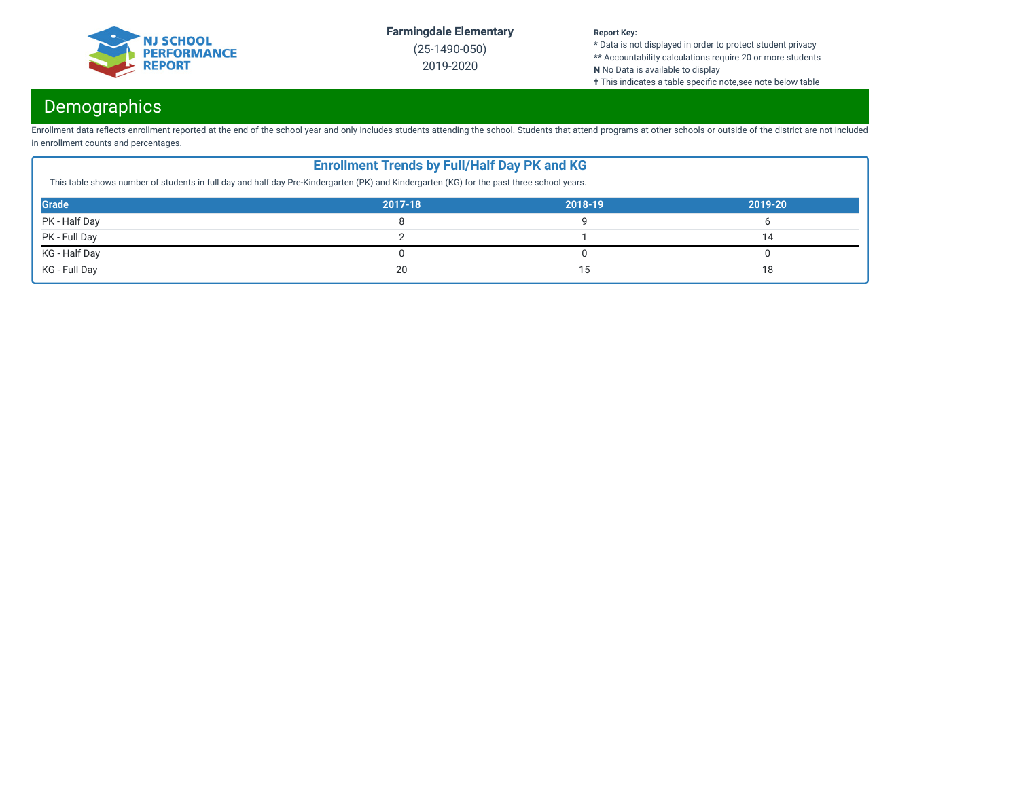

(25-1490-050) 2019-2020

#### **Report Key:**

**\*** Data is not displayed in order to protect student privacy **\*\*** Accountability calculations require 20 or more students

**N** No Data is available to display

**†** This indicates a table specific note,see note below table

## Demographics

Enrollment data reflects enrollment reported at the end of the school year and only includes students attending the school. Students that attend programs at other schools or outside of the district are not included in enrollment counts and percentages.

| <b>Enrollment Trends by Full/Half Day PK and KG</b><br>This table shows number of students in full day and half day Pre-Kindergarten (PK) and Kindergarten (KG) for the past three school years. |         |         |         |  |  |
|--------------------------------------------------------------------------------------------------------------------------------------------------------------------------------------------------|---------|---------|---------|--|--|
| <b>Grade</b>                                                                                                                                                                                     | 2017-18 | 2018-19 | 2019-20 |  |  |
| PK - Half Day                                                                                                                                                                                    |         |         |         |  |  |
| PK - Full Day                                                                                                                                                                                    |         |         | 14      |  |  |
| KG - Half Day                                                                                                                                                                                    |         |         |         |  |  |
| KG - Full Day                                                                                                                                                                                    | 20      |         | 18      |  |  |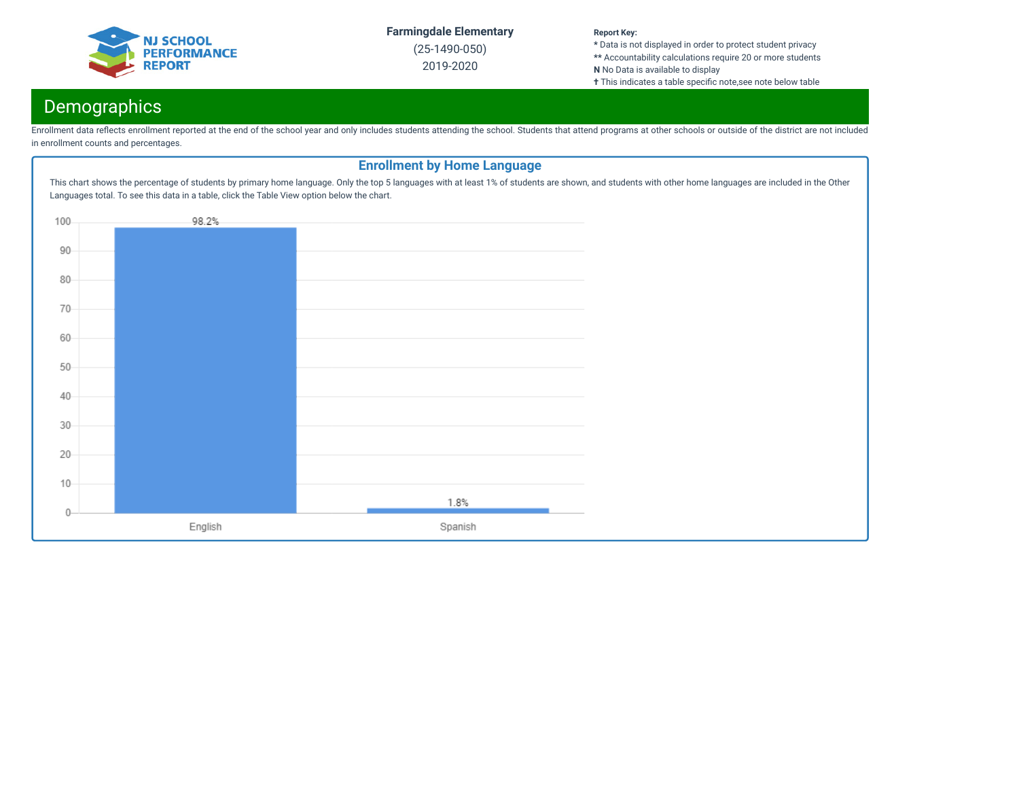

(25-1490-050) 2019-2020

#### **Report Key:**

**\*** Data is not displayed in order to protect student privacy **\*\*** Accountability calculations require 20 or more students

**N** No Data is available to display

**†** This indicates a table specific note,see note below table

## **Demographics**

Enrollment data reflects enrollment reported at the end of the school year and only includes students attending the school. Students that attend programs at other schools or outside of the district are not included in enrollment counts and percentages.

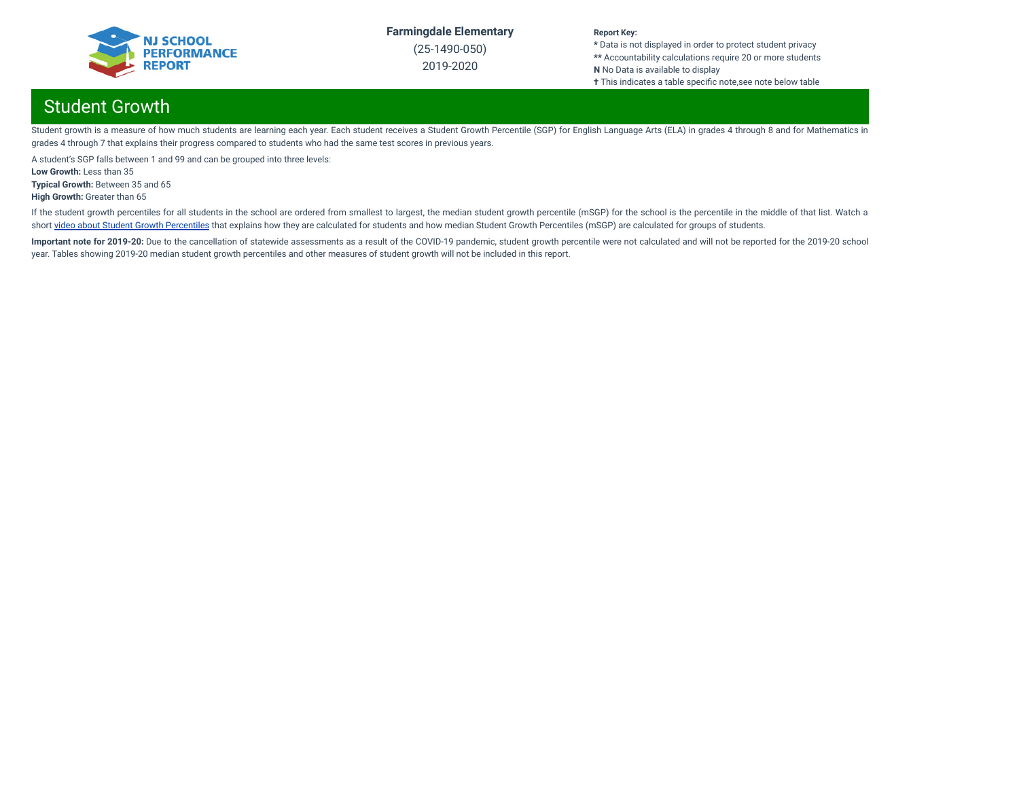

(25-1490-050) 2019-2020

#### **Report Key:**

**\*** Data is not displayed in order to protect student privacy **\*\*** Accountability calculations require 20 or more students **N** No Data is available to display **†** This indicates a table specific note,see note below table

## Student Growth

Student growth is a measure of how much students are learning each year. Each student receives a Student Growth Percentile (SGP) for English Language Arts (ELA) in grades 4 through 8 and for Mathematics in grades 4 through 7 that explains their progress compared to students who had the same test scores in previous years.

A student's SGP falls between 1 and 99 and can be grouped into three levels:

**Low Growth:** Less than 35

**Typical Growth:** Between 35 and 65

**High Growth:** Greater than 65

If the student growth percentiles for all students in the school are ordered from smallest to largest, the median student growth percentile (mSGP) for the school is the percentile in the middle of that list. Watch a short video about Student Growth [Percentiles](http://digitallearning.pcgus.com/NJSMART/sgps/story.html) that explains how they are calculated for students and how median Student Growth Percentiles (mSGP) are calculated for groups of students.

Important note for 2019-20: Due to the cancellation of statewide assessments as a result of the COVID-19 pandemic, student growth percentile were not calculated and will not be reported for the 2019-20 school year. Tables showing 2019-20 median student growth percentiles and other measures of student growth will not be included in this report.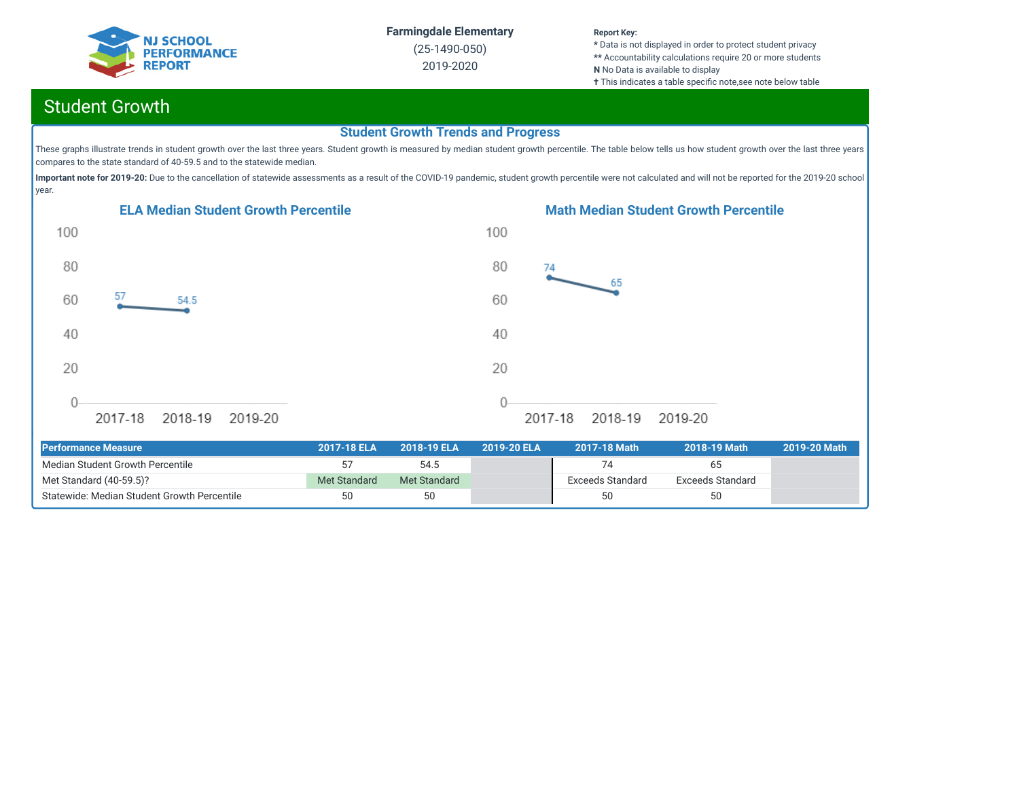

(25-1490-050) 2019-2020

#### **Report Key:**

**\*** Data is not displayed in order to protect student privacy **\*\*** Accountability calculations require 20 or more students **N** No Data is available to display **†** This indicates a table specific note, see note below table

## Student Growth

#### **Student Growth Trends and Progress**

These graphs illustrate trends in student growth over the last three years. Student growth is measured by median student growth percentile. The table below tells us how student growth over the last three years compares to the state standard of 40-59.5 and to the statewide median.

Important note for 2019-20: Due to the cancellation of statewide assessments as a result of the COVID-19 pandemic, student growth percentile were not calculated and will not be reported for the 2019-20 school year.





| <b>Performance Measure</b>                  | 2017-18 ELA  | 2018-19 ELA  | 2019-20 ELA | 2017-18 Math            | 2018-19 Math     | 2019-20 Math |
|---------------------------------------------|--------------|--------------|-------------|-------------------------|------------------|--------------|
| Median Student Growth Percentile            |              | 54.5         |             |                         | 65               |              |
| Met Standard (40-59.5)?                     | Met Standard | Met Standard |             | <b>Exceeds Standard</b> | Exceeds Standard |              |
| Statewide: Median Student Growth Percentile | 50           | 50           |             | 50                      | 50               |              |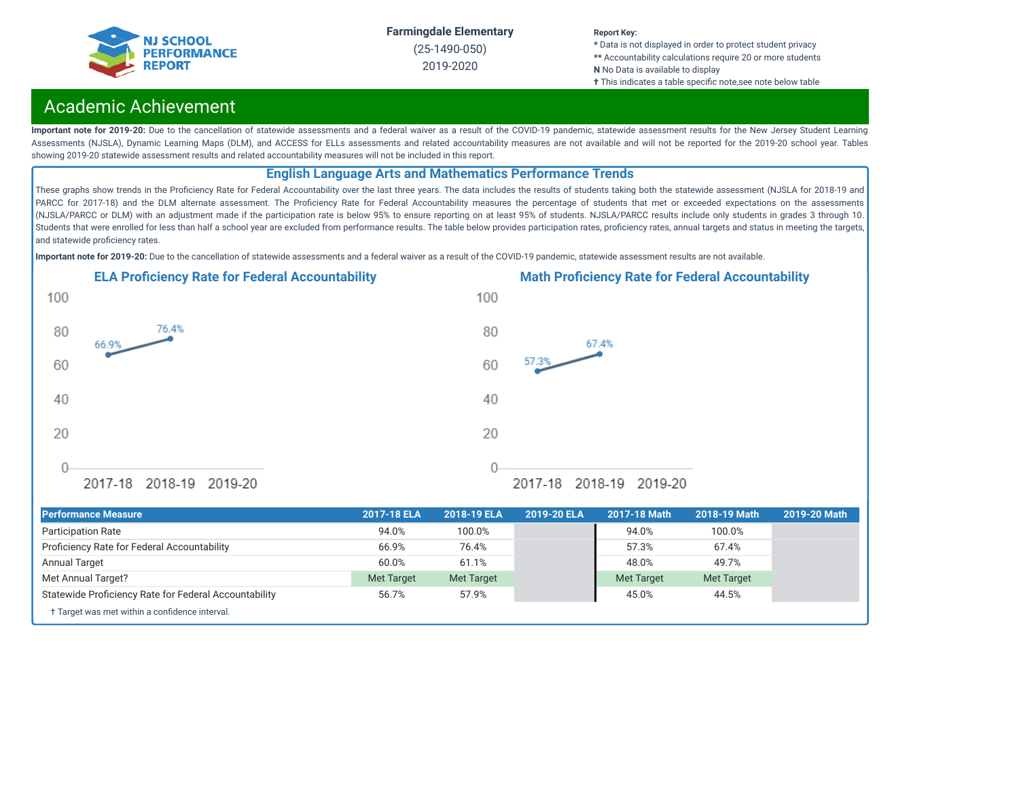

(25-1490-050) 2019-2020

#### **Report Key:**

**\*** Data is not displayed in order to protect student privacy **\*\*** Accountability calculations require 20 or more students **N** No Data is available to display

**†** This indicates a table specific note, see note below table

## Academic Achievement

Important note for 2019-20: Due to the cancellation of statewide assessments and a federal waiver as a result of the COVID-19 pandemic, statewide assessment results for the New Jersey Student Learning Assessments (NJSLA), Dynamic Learning Maps (DLM), and ACCESS for ELLs assessments and related accountability measures are not available and will not be reported for the 2019-20 school year. Tables showing 2019-20 statewide assessment results and related accountability measures will not be included in this report.

#### **English Language Arts and Mathematics Performance Trends**

These graphs show trends in the Proficiency Rate for Federal Accountability over the last three years. The data includes the results of students taking both the statewide assessment (NJSLA for 2018-19 and PARCC for 2017-18) and the DLM alternate assessment. The Proficiency Rate for Federal Accountability measures the percentage of students that met or exceeded expectations on the assessments (NJSLA/PARCC or DLM) with an adjustment made if the participation rate is below 95% to ensure reporting on at least 95% of students. NJSLA/PARCC results include only students in grades 3 through 10. Students that were enrolled for less than half a school year are excluded from performance results. The table below provides participation rates, proficiency rates, annual targets and status in meeting the targets, and statewide proficiency rates.

**Important note for 2019-20:** Due to the cancellation of statewide assessments and a federal waiver as a result of the COVID-19 pandemic, statewide assessment results are not available.





† Target was met within a confidence interval. **Performance Measure 2017-18 ELA 2018-19 ELA 2019-20 ELA 2017-18 Math 2018-19 Math 2019-20 Math** Participation Rate 94.0% 100.0% 94.0% 100.0% Prociency Rate for Federal Accountability 66.9% 76.4% 57.3% 67.4% Annual Target 60.0% 61.1% 48.0% 49.7% Met Annual Target? Met Target Met Target Met Target Met Target Statewide Proficiency Rate for Federal Accountability 65.7% 57.9% 57.9% 45.0% 45.0% 44.5%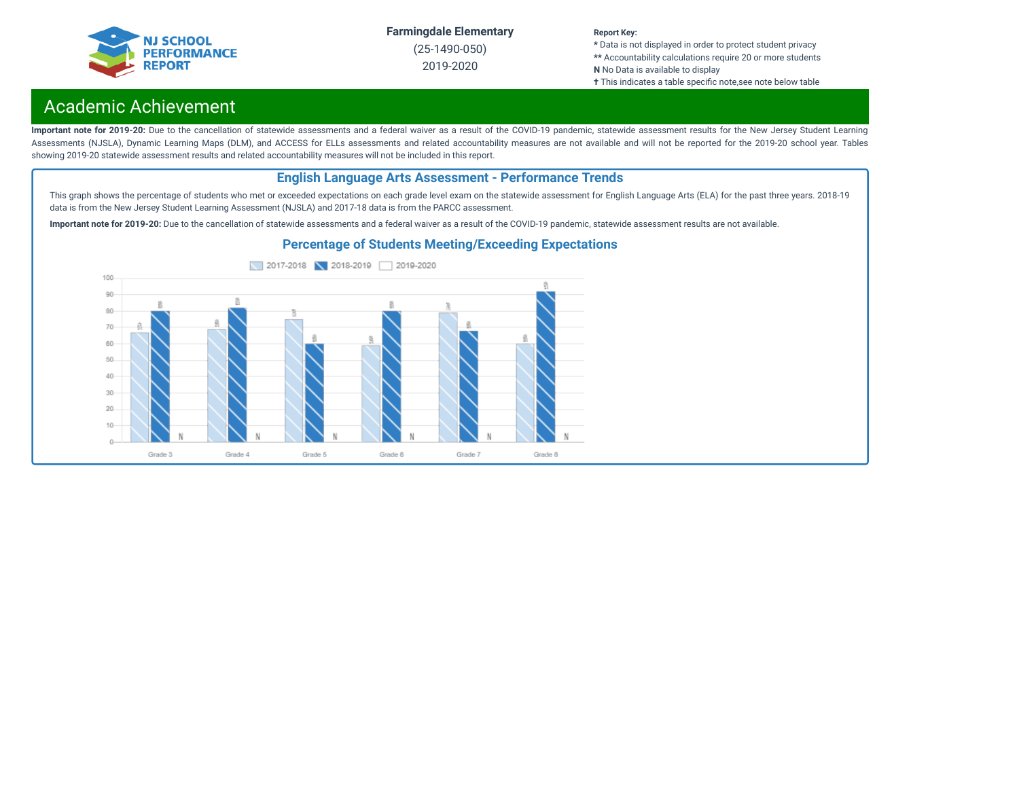

(25-1490-050) 2019-2020

#### **Report Key:**

**\*** Data is not displayed in order to protect student privacy **\*\*** Accountability calculations require 20 or more students **N** No Data is available to display

**†** This indicates a table specific note, see note below table

## Academic Achievement

Important note for 2019-20: Due to the cancellation of statewide assessments and a federal waiver as a result of the COVID-19 pandemic, statewide assessment results for the New Jersey Student Learning Assessments (NJSLA), Dynamic Learning Maps (DLM), and ACCESS for ELLs assessments and related accountability measures are not available and will not be reported for the 2019-20 school year. Tables showing 2019-20 statewide assessment results and related accountability measures will not be included in this report.

#### **English Language Arts Assessment - Performance Trends**

This graph shows the percentage of students who met or exceeded expectations on each grade level exam on the statewide assessment for English Language Arts (ELA) for the past three years. 2018-19 data is from the New Jersey Student Learning Assessment (NJSLA) and 2017-18 data is from the PARCC assessment.

**Important note for 2019-20:** Due to the cancellation of statewide assessments and a federal waiver as a result of the COVID-19 pandemic, statewide assessment results are not available.



#### **Percentage of Students Meeting/Exceeding Expectations**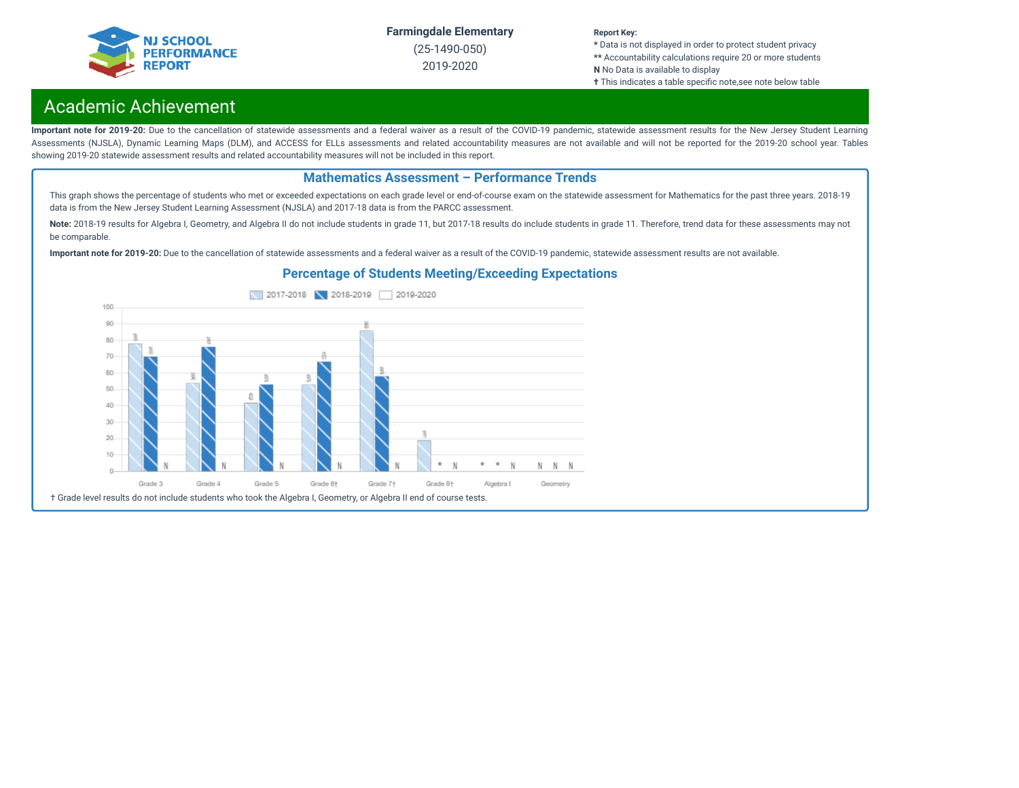

(25-1490-050) 2019-2020

#### **Report Key:**

**\*** Data is not displayed in order to protect student privacy **\*\*** Accountability calculations require 20 or more students **N** No Data is available to display

**†** This indicates a table specific note,see note below table

## Academic Achievement

Important note for 2019-20: Due to the cancellation of statewide assessments and a federal waiver as a result of the COVID-19 pandemic, statewide assessment results for the New Jersey Student Learning Assessments (NJSLA), Dynamic Learning Maps (DLM), and ACCESS for ELLs assessments and related accountability measures are not available and will not be reported for the 2019-20 school year. Tables showing 2019-20 statewide assessment results and related accountability measures will not be included in this report.

#### **Mathematics Assessment – Performance Trends**

This graph shows the percentage of students who met or exceeded expectations on each grade level or end-of-course exam on the statewide assessment for Mathematics for the past three years. 2018-19 data is from the New Jersey Student Learning Assessment (NJSLA) and 2017-18 data is from the PARCC assessment.

Note: 2018-19 results for Algebra I, Geometry, and Algebra II do not include students in grade 11, but 2017-18 results do include students in grade 11. Therefore, trend data for these assessments may not be comparable.

**Important note for 2019-20:** Due to the cancellation of statewide assessments and a federal waiver as a result of the COVID-19 pandemic, statewide assessment results are not available.

### **Percentage of Students Meeting/Exceeding Expectations**

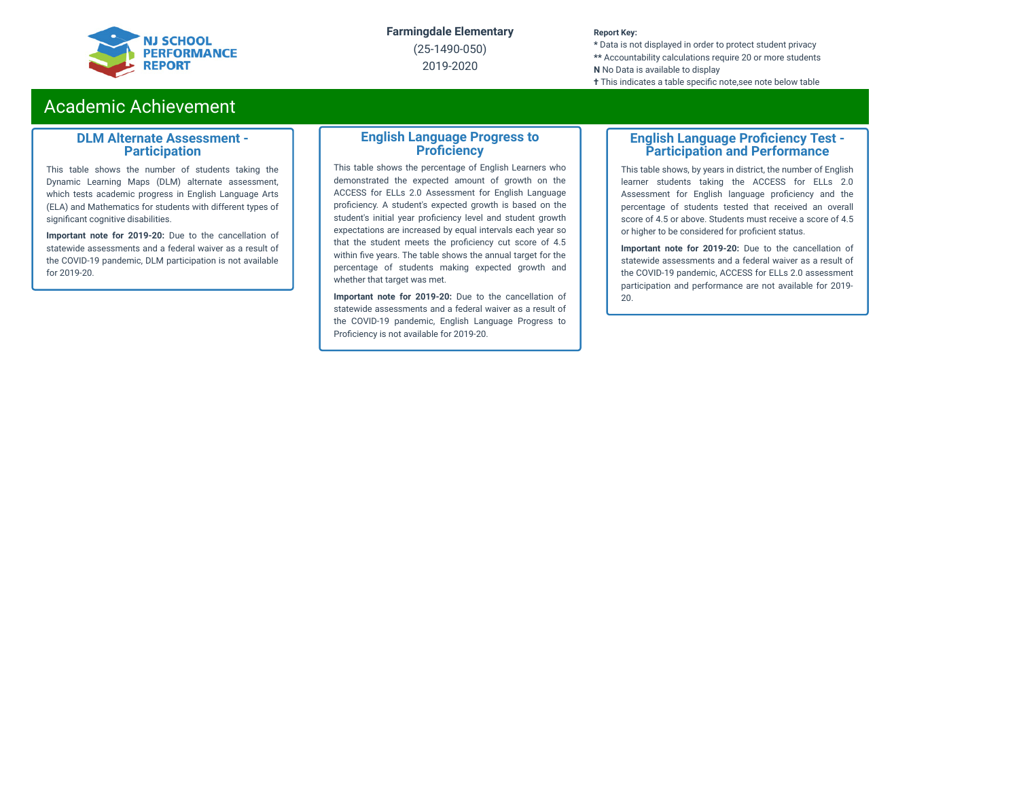

(25-1490-050) 2019-2020

#### **Report Key:**

**\*** Data is not displayed in order to protect student privacy **\*\*** Accountability calculations require 20 or more students **N** No Data is available to display **†** This indicates a table specific note, see note below table

### Academic Achievement

#### **DLM Alternate Assessment - Participation**

This table shows the number of students taking the Dynamic Learning Maps (DLM) alternate assessment, which tests academic progress in English Language Arts (ELA) and Mathematics for students with different types of significant cognitive disabilities.

**Important note for 2019-20:** Due to the cancellation of statewide assessments and a federal waiver as a result of the COVID-19 pandemic, DLM participation is not available for 2019-20.

#### **English Language Progress to Proficiency**

This table shows the percentage of English Learners who demonstrated the expected amount of growth on the ACCESS for ELLs 2.0 Assessment for English Language proficiency. A student's expected growth is based on the student's initial year proficiency level and student growth expectations are increased by equal intervals each year so that the student meets the proficiency cut score of 4.5 within five years. The table shows the annual target for the percentage of students making expected growth and whether that target was met.

**Important note for 2019-20:** Due to the cancellation of statewide assessments and a federal waiver as a result of the COVID-19 pandemic, English Language Progress to Proficiency is not available for 2019-20.

#### **English Language Proficiency Test -Participation and Performance**

This table shows, by years in district, the number of English learner students taking the ACCESS for ELLs 2.0 Assessment for English language proficiency and the percentage of students tested that received an overall score of 4.5 or above. Students must receive a score of 4.5 or higher to be considered for proficient status.

**Important note for 2019-20:** Due to the cancellation of statewide assessments and a federal waiver as a result of the COVID-19 pandemic, ACCESS for ELLs 2.0 assessment participation and performance are not available for 2019- 20.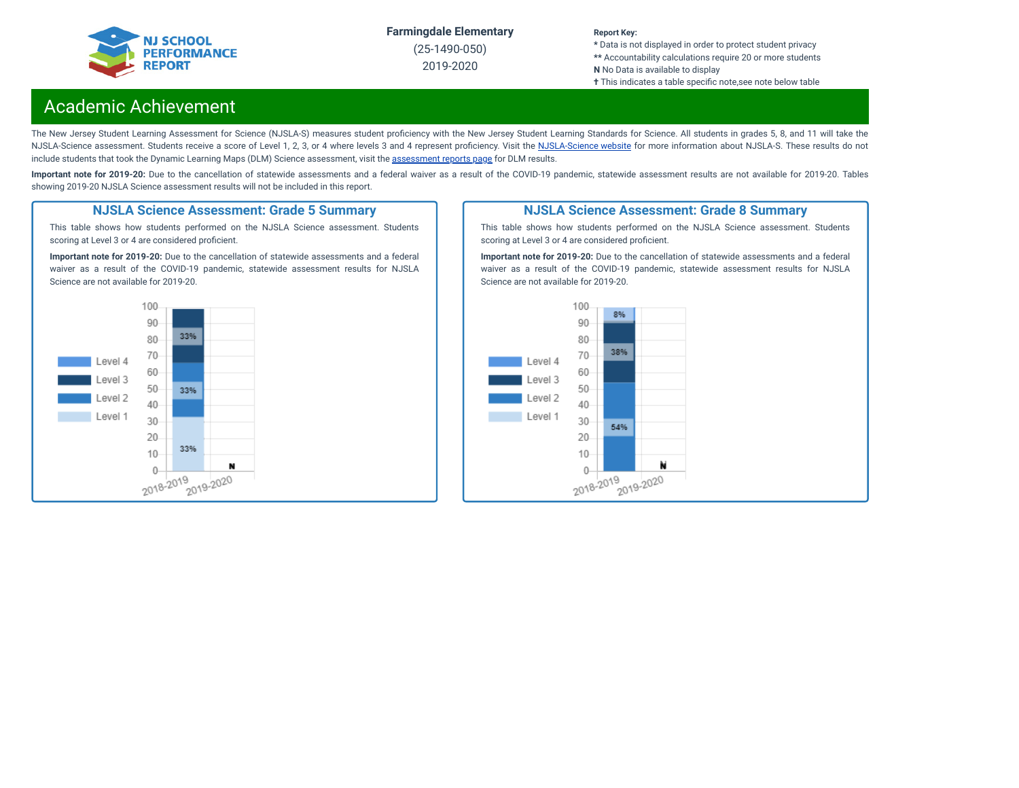

(25-1490-050) 2019-2020

#### **Report Key:**

**\*** Data is not displayed in order to protect student privacy **\*\*** Accountability calculations require 20 or more students **N** No Data is available to display

**†** This indicates a table specific note, see note below table

### Academic Achievement

The New Jersey Student Learning Assessment for Science (NJSLA-S) measures student proficiency with the New Jersey Student Learning Standards for Science. All students in grades 5, 8, and 11 will take the [NJSLA-Science](https://www.nj.gov/education/assessment/sla/science/) assessment. Students receive a score of Level 1, 2, 3, or 4 where levels 3 and 4 represent proficiency. Visit the NJSLA-Science website for more information about NJSLA-S. These results do not include students that took the Dynamic Learning Maps (DLM) Science [assessment](https://www.nj.gov/education/schools/achievement/), visit the assessment reports page for DLM results.

Important note for 2019-20: Due to the cancellation of statewide assessments and a federal waiver as a result of the COVID-19 pandemic, statewide assessment results are not available for 2019-20. Tables showing 2019-20 NJSLA Science assessment results will not be included in this report.

#### **NJSLA Science Assessment: Grade 5 Summary**

This table shows how students performed on the NJSLA Science assessment. Students scoring at Level 3 or 4 are considered proficient.

**Important note for 2019-20:** Due to the cancellation of statewide assessments and a federal waiver as a result of the COVID-19 pandemic, statewide assessment results for NJSLA Science are not available for 2019-20.



#### **NJSLA Science Assessment: Grade 8 Summary**

This table shows how students performed on the NJSLA Science assessment. Students scoring at Level 3 or 4 are considered proficient.

**Important note for 2019-20:** Due to the cancellation of statewide assessments and a federal waiver as a result of the COVID-19 pandemic, statewide assessment results for NJSLA Science are not available for 2019-20.

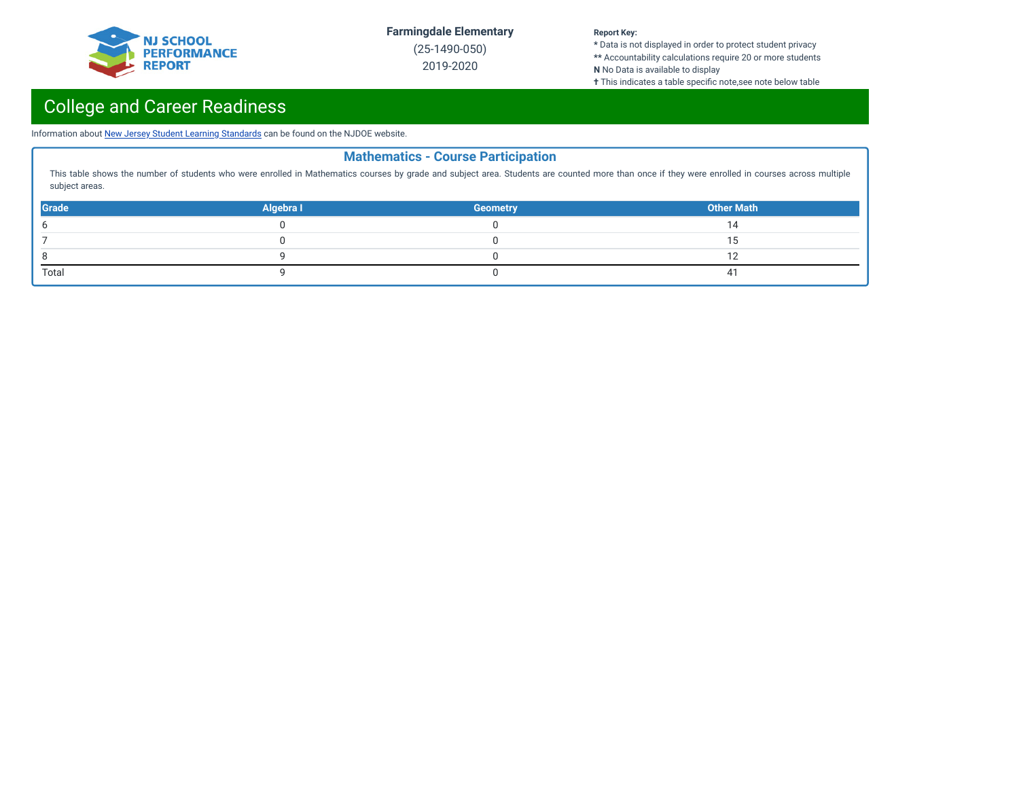

(25-1490-050) 2019-2020

#### **Report Key:**

**\*** Data is not displayed in order to protect student privacy **\*\*** Accountability calculations require 20 or more students **N** No Data is available to display

**†** This indicates a table specific note,see note below table

# College and Career Readiness

Information about New Jersey Student Learning [Standards](https://www.nj.gov/education/cccs/) can be found on the NJDOE website.

| <b>Mathematics - Course Participation</b>                                                                                                                                                                          |           |                 |                   |  |  |  |
|--------------------------------------------------------------------------------------------------------------------------------------------------------------------------------------------------------------------|-----------|-----------------|-------------------|--|--|--|
| This table shows the number of students who were enrolled in Mathematics courses by grade and subject area. Students are counted more than once if they were enrolled in courses across multiple<br>subject areas. |           |                 |                   |  |  |  |
| <b>Grade</b>                                                                                                                                                                                                       | Algebra I | <b>Geometry</b> | <b>Other Math</b> |  |  |  |
| 6                                                                                                                                                                                                                  |           |                 |                   |  |  |  |
|                                                                                                                                                                                                                    |           |                 |                   |  |  |  |
| 8                                                                                                                                                                                                                  |           |                 | 10                |  |  |  |
| Total                                                                                                                                                                                                              |           |                 | 4                 |  |  |  |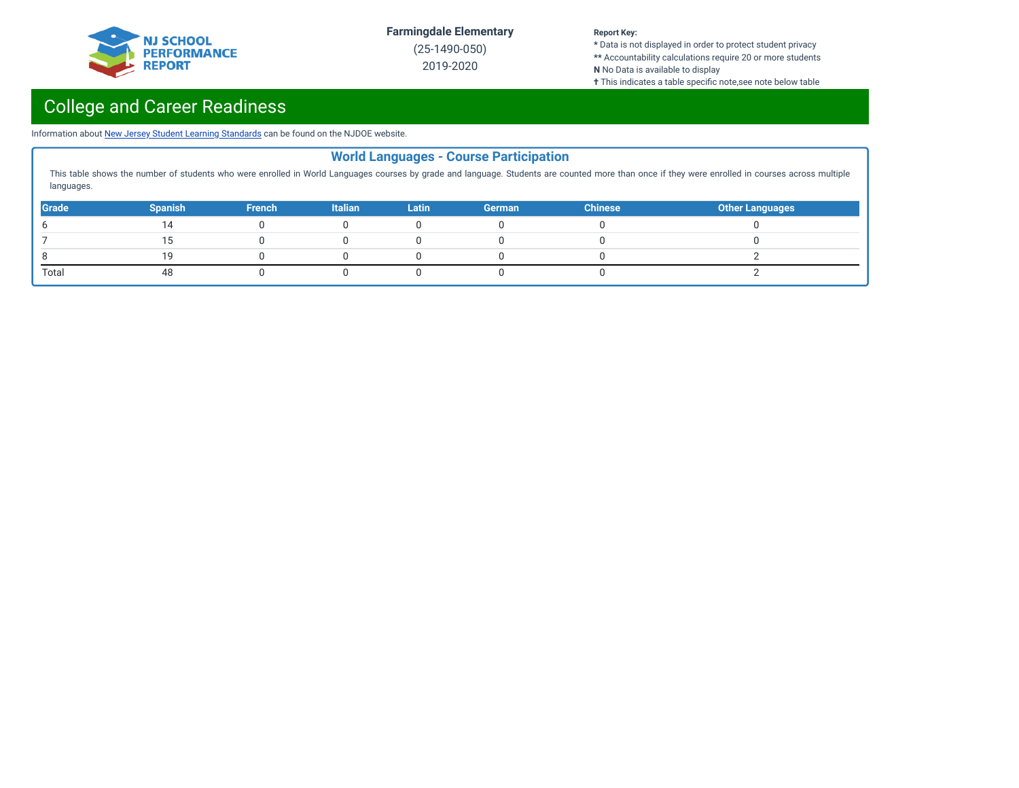

(25-1490-050) 2019-2020

#### **Report Key:**

**\*** Data is not displayed in order to protect student privacy **\*\*** Accountability calculations require 20 or more students **N** No Data is available to display

**†** This indicates a table specific note,see note below table

# College and Career Readiness

Information about New Jersey Student Learning [Standards](https://www.nj.gov/education/cccs/) can be found on the NJDOE website.

| <b>World Languages - Course Participation</b>                                                                                                                                                                  |                |               |                |              |               |                |                        |
|----------------------------------------------------------------------------------------------------------------------------------------------------------------------------------------------------------------|----------------|---------------|----------------|--------------|---------------|----------------|------------------------|
| This table shows the number of students who were enrolled in World Languages courses by grade and language. Students are counted more than once if they were enrolled in courses across multiple<br>languages. |                |               |                |              |               |                |                        |
| Grade                                                                                                                                                                                                          | <b>Spanish</b> | <b>French</b> | <b>Italian</b> | <b>Latin</b> | <b>German</b> | <b>Chinese</b> | <b>Other Languages</b> |
|                                                                                                                                                                                                                |                |               |                |              |               |                |                        |
|                                                                                                                                                                                                                |                |               |                |              |               |                |                        |
|                                                                                                                                                                                                                |                |               |                |              |               |                |                        |
| Total                                                                                                                                                                                                          |                |               |                |              |               |                |                        |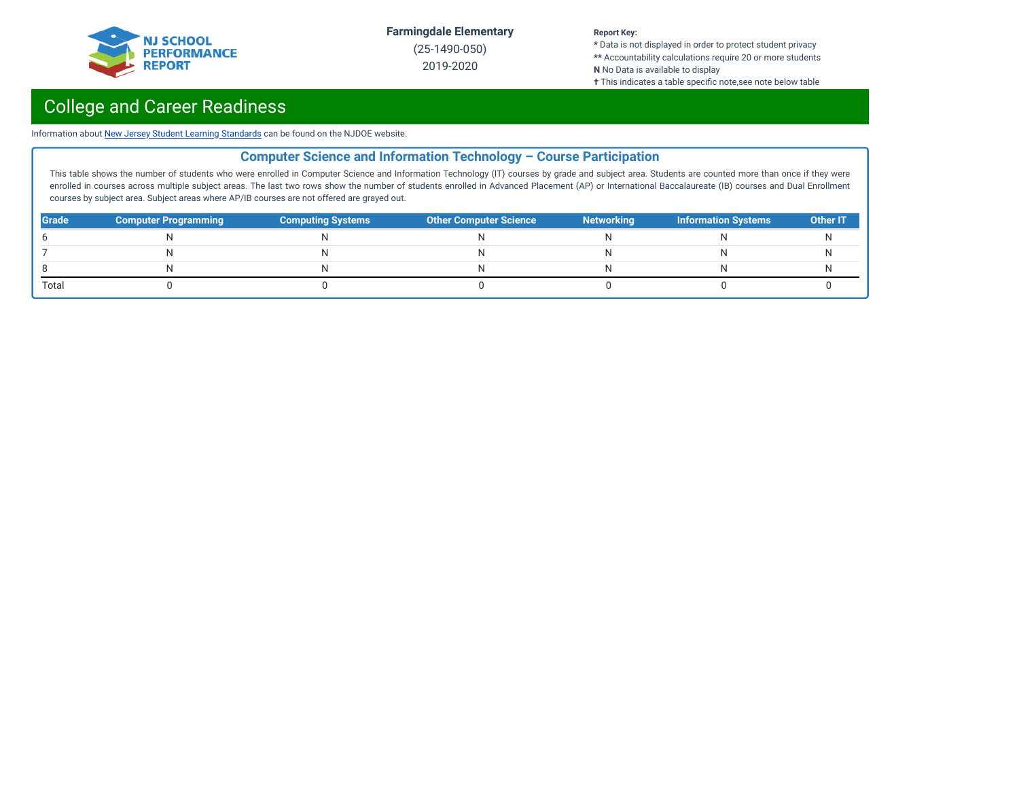

(25-1490-050) 2019-2020

#### **Report Key:**

**\*** Data is not displayed in order to protect student privacy **\*\*** Accountability calculations require 20 or more students **N** No Data is available to display

**†** This indicates a table specific note,see note below table

## College and Career Readiness

Information about New Jersey Student Learning [Standards](https://www.nj.gov/education/cccs/) can be found on the NJDOE website.

### **Computer Science and Information Technology – Course Participation**

This table shows the number of students who were enrolled in Computer Science and Information Technology (IT) courses by grade and subject area. Students are counted more than once if they were enrolled in courses across multiple subject areas. The last two rows show the number of students enrolled in Advanced Placement (AP) or International Baccalaureate (IB) courses and Dual Enrollment courses by subject area. Subject areas where AP/IB courses are not offered are grayed out.

| <b>Grade</b> | <b>Computer Programming</b> | <b>Computing Systems</b> | <b>Other Computer Science</b> | <b>Networking</b> | <b>Information Systems</b> | <b>Other IT</b> |
|--------------|-----------------------------|--------------------------|-------------------------------|-------------------|----------------------------|-----------------|
|              |                             |                          |                               |                   |                            |                 |
|              |                             | N                        |                               |                   |                            |                 |
|              |                             | N                        |                               |                   |                            |                 |
| Total        |                             |                          |                               |                   |                            |                 |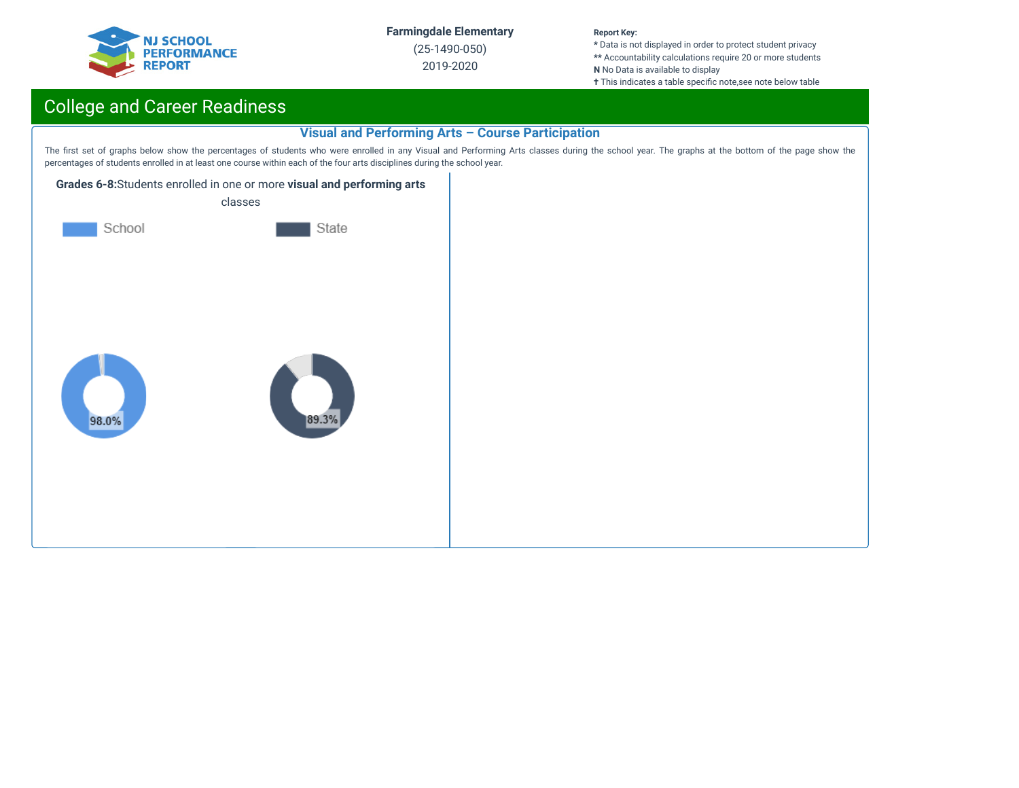

(25-1490-050) 2019-2020

#### **Report Key:**

**\*** Data is not displayed in order to protect student privacy **\*\*** Accountability calculations require 20 or more students **N** No Data is available to display

**†** This indicates a table specific note,see note below table

## College and Career Readiness

#### **Visual and Performing Arts – Course Participation**

The first set of graphs below show the percentages of students who were enrolled in any Visual and Performing Arts classes during the school year. The graphs at the bottom of the page show the percentages of students enrolled in at least one course within each of the four arts disciplines during the school year.



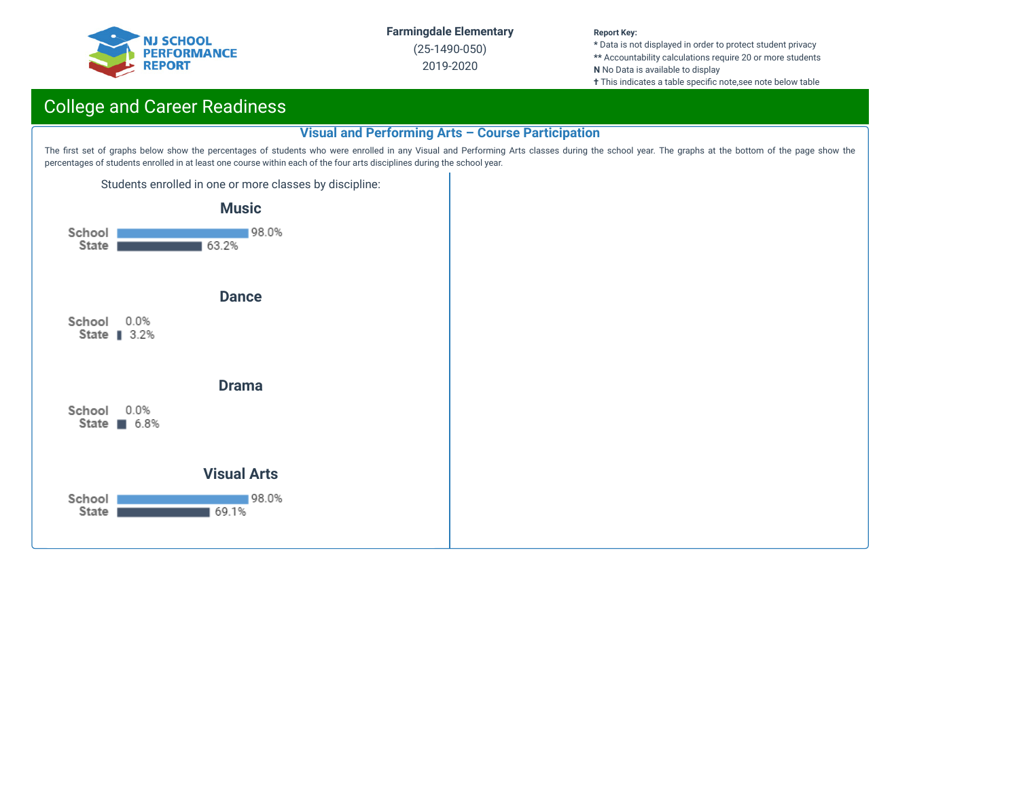

(25-1490-050) 2019-2020

#### **Report Key:**

**\*** Data is not displayed in order to protect student privacy **\*\*** Accountability calculations require 20 or more students **N** No Data is available to display

**†** This indicates a table specific note,see note below table

## College and Career Readiness

#### **Visual and Performing Arts – Course Participation**

The first set of graphs below show the percentages of students who were enrolled in any Visual and Performing Arts classes during the school year. The graphs at the bottom of the page show the percentages of students enrolled in at least one course within each of the four arts disciplines during the school year.

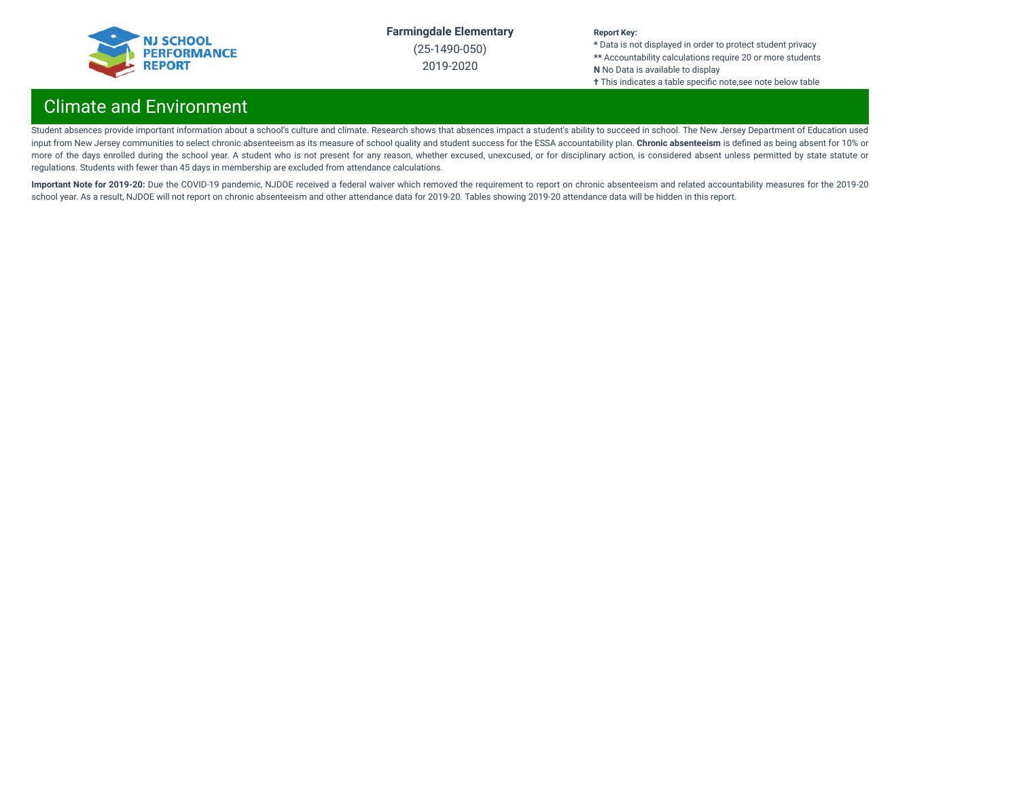

(25-1490-050) 2019-2020

#### **Report Key:**

**\*** Data is not displayed in order to protect student privacy **\*\*** Accountability calculations require 20 or more students **N** No Data is available to display **†** This indicates a table specific note,see note below table

## Climate and Environment

Student absences provide important information about a school's culture and climate. Research shows that absences impact a student's ability to succeed in school. The New Jersey Department of Education used input from New Jersey communities to select chronic absenteeism as its measure of school quality and student success for the ESSA accountability plan. **Chronic absenteeism** is dened as being absent for 10% or more of the days enrolled during the school year. A student who is not present for any reason, whether excused, unexcused, or for disciplinary action, is considered absent unless permitted by state statute or regulations. Students with fewer than 45 days in membership are excluded from attendance calculations.

Important Note for 2019-20: Due the COVID-19 pandemic, NJDOE received a federal waiver which removed the requirement to report on chronic absenteeism and related accountability measures for the 2019-20 school year. As a result, NJDOE will not report on chronic absenteeism and other attendance data for 2019-20. Tables showing 2019-20 attendance data will be hidden in this report.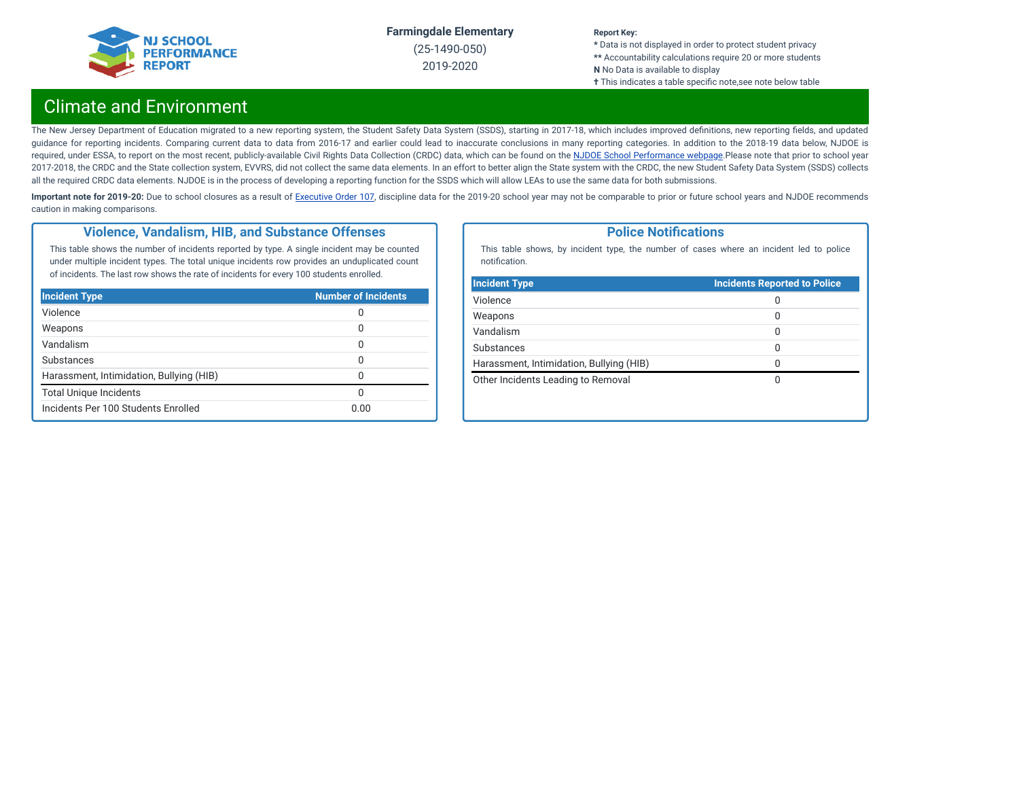

(25-1490-050) 2019-2020

#### **Report Key:**

**\*** Data is not displayed in order to protect student privacy **\*\*** Accountability calculations require 20 or more students **N** No Data is available to display **†** This indicates a table specific note, see note below table

## Climate and Environment

The New Jersey Department of Education migrated to a new reporting system, the Student Safety Data System (SSDS), starting in 2017-18, which includes improved definitions, new reporting fields, and updated guidance for reporting incidents. Comparing current data to data from 2016-17 and earlier could lead to inaccurate conclusions in many reporting categories. In addition to the 2018-19 data below, NJDOE is required, under ESSA, to report on the most recent, publicly-available Civil Rights Data Collection (CRDC) data, which can be found on the NJDOE School [Performance](https://www.nj.gov/education/schoolperformance/climate/) webpage.Please note that prior to school year 2017-2018, the CRDC and the State collection system, EVVRS, did not collect the same data elements. In an effort to better align the State system with the CRDC, the new Student Safety Data System (SSDS) collects all the required CRDC data elements. NJDOE is in the process of developing a reporting function for the SSDS which will allow LEAs to use the same data for both submissions.

Important note for 2019-20: Due to school closures as a result of [Executive](https://nj.gov/infobank/eo/056murphy/pdf/EO-107.pdf) Order 107, discipline data for the 2019-20 school year may not be comparable to prior or future school years and NJDOE recommends caution in making comparisons.

#### **Violence, Vandalism, HIB, and Substance Offenses**

This table shows the number of incidents reported by type. A single incident may be counted under multiple incident types. The total unique incidents row provides an unduplicated count of incidents. The last row shows the rate of incidents for every 100 students enrolled.

| <b>Incident Type</b>                     | <b>Number of Incidents</b> |
|------------------------------------------|----------------------------|
| Violence                                 | 0                          |
| Weapons                                  | 0                          |
| Vandalism                                | 0                          |
| Substances                               | O                          |
| Harassment, Intimidation, Bullying (HIB) | 0                          |
| <b>Total Unique Incidents</b>            | O                          |
| Incidents Per 100 Students Enrolled      | 0.00                       |

#### **Police Notifications**

This table shows, by incident type, the number of cases where an incident led to police notification.

| 0            |
|--------------|
|              |
| 0            |
| 0            |
| 0            |
| <sup>0</sup> |
| O            |
|              |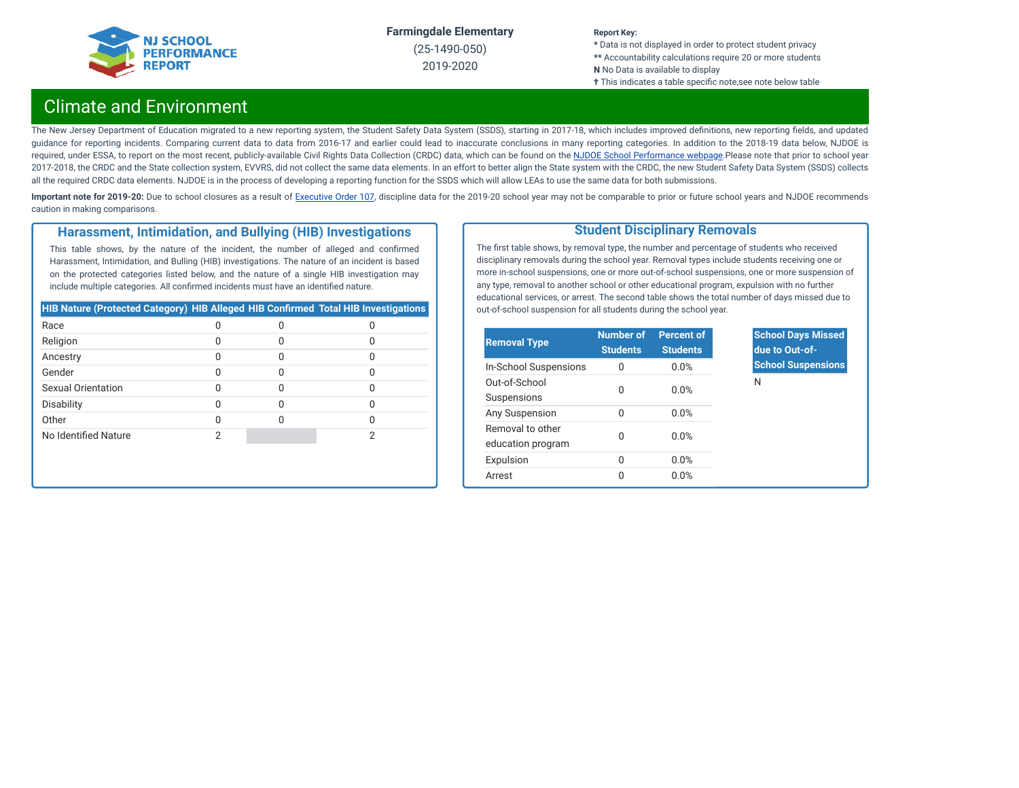

(25-1490-050) 2019-2020

#### **Report Key:**

**\*** Data is not displayed in order to protect student privacy **\*\*** Accountability calculations require 20 or more students **N** No Data is available to display **†** This indicates a table specific note,see note below table

## Climate and Environment

The New Jersey Department of Education migrated to a new reporting system, the Student Safety Data System (SSDS), starting in 2017-18, which includes improved definitions, new reporting fields, and updated guidance for reporting incidents. Comparing current data to data from 2016-17 and earlier could lead to inaccurate conclusions in many reporting categories. In addition to the 2018-19 data below, NJDOE is required, under ESSA, to report on the most recent, publicly-available Civil Rights Data Collection (CRDC) data, which can be found on the NJDOE School [Performance](https://www.nj.gov/education/schoolperformance/climate/) webpage.Please note that prior to school year 2017-2018, the CRDC and the State collection system, EVVRS, did not collect the same data elements. In an effort to better align the State system with the CRDC, the new Student Safety Data System (SSDS) collects all the required CRDC data elements. NJDOE is in the process of developing a reporting function for the SSDS which will allow LEAs to use the same data for both submissions.

Important note for 2019-20: Due to school closures as a result of [Executive](https://nj.gov/infobank/eo/056murphy/pdf/EO-107.pdf) Order 107, discipline data for the 2019-20 school year may not be comparable to prior or future school years and NJDOE recommends caution in making comparisons.

#### **Harassment, Intimidation, and Bullying (HIB) Investigations**

This table shows, by the nature of the incident, the number of alleged and confirmed Harassment, Intimidation, and Bulling (HIB) investigations. The nature of an incident is based on the protected categories listed below, and the nature of a single HIB investigation may include multiple categories. All confirmed incidents must have an identified nature.

| <b>HIB Nature (Protected Category) HIB Alleged HIB Confirmed Total HIB Investigations</b> |  |  |
|-------------------------------------------------------------------------------------------|--|--|
| Race                                                                                      |  |  |
| Religion                                                                                  |  |  |
| Ancestry                                                                                  |  |  |
| Gender                                                                                    |  |  |
| Sexual Orientation                                                                        |  |  |
| Disability                                                                                |  |  |
| Other                                                                                     |  |  |
| No Identified Nature                                                                      |  |  |

#### **Student Disciplinary Removals**

The first table shows, by removal type, the number and percentage of students who received disciplinary removals during the school year. Removal types include students receiving one or more in-school suspensions, one or more out-of-school suspensions, one or more suspension of any type, removal to another school or other educational program, expulsion with no further educational services, or arrest. The second table shows the total number of days missed due to out-of-school suspension for all students during the school year.

| <b>Removal Type</b>                   | <b>Number of</b><br><b>Students</b> | <b>Percent of</b><br><b>Students</b> |
|---------------------------------------|-------------------------------------|--------------------------------------|
| In-School Suspensions                 | 0                                   | 0.0%                                 |
| Out-of-School<br>Suspensions          | O                                   | 0.0%                                 |
| Any Suspension                        | O                                   | 0.0%                                 |
| Removal to other<br>education program | O                                   | 0.0%                                 |
| Expulsion                             | 0                                   | 0.0%                                 |
| Arrest                                | O                                   | 0.0%                                 |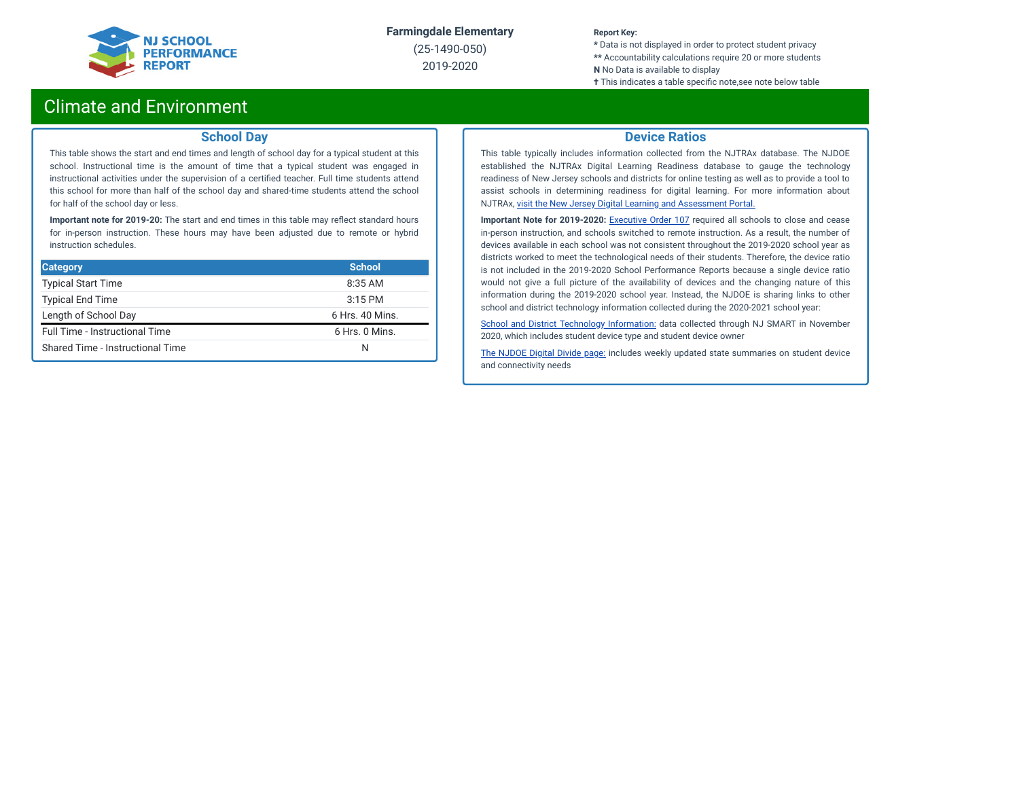

(25-1490-050) 2019-2020

#### **Report Key:**

**\*** Data is not displayed in order to protect student privacy **\*\*** Accountability calculations require 20 or more students **N** No Data is available to display

**†** This indicates a table specific note, see note below table

### Climate and Environment

#### **School Day**

This table shows the start and end times and length of school day for a typical student at this school. Instructional time is the amount of time that a typical student was engaged in instructional activities under the supervision of a certified teacher. Full time students attend this school for more than half of the school day and shared-time students attend the school for half of the school day or less.

**Important note for 2019-20:** The start and end times in this table may reflect standard hours for in-person instruction. These hours may have been adjusted due to remote or hybrid instruction schedules.

| <b>Category</b>                  | <b>School</b>   |
|----------------------------------|-----------------|
| <b>Typical Start Time</b>        | 8:35 AM         |
| <b>Typical End Time</b>          | $3:15$ PM       |
| Length of School Day             | 6 Hrs. 40 Mins. |
| Full Time - Instructional Time   | 6 Hrs. 0 Mins.  |
| Shared Time - Instructional Time | N               |

#### **Device Ratios**

This table typically includes information collected from the NJTRAx database. The NJDOE established the NJTRAx Digital Learning Readiness database to gauge the technology readiness of New Jersey schools and districts for online testing as well as to provide a tool to assist schools in determining readiness for digital learning. For more information about NJTRAx, visit the New Jersey Digital Learning and [Assessment](https://njdigitallearning.org/njtrax/) Portal.

**Important Note for 2019-2020:** [Executive](https://nj.gov/infobank/eo/056murphy/pdf/EO-107.pdf) Order 107 required all schools to close and cease in-person instruction, and schools switched to remote instruction. As a result, the number of devices available in each school was not consistent throughout the 2019-2020 school year as districts worked to meet the technological needs of their students. Therefore, the device ratio is not included in the 2019-2020 School Performance Reports because a single device ratio would not give a full picture of the availability of devices and the changing nature of this information during the 2019-2020 school year. Instead, the NJDOE is sharing links to other school and district technology information collected during the 2020-2021 school year:

School and District Technology [Information:](https://www.state.nj.us/education/schoolperformance/climate/docs/DistrictReportedStudentDeviceInformation.xlsx) data collected through NJ SMART in November 2020, which includes student device type and student device owner

The [NJDOE](https://www.nj.gov/education/grants/digitaldivide/techsurveys.shtml) Digital Divide page: includes weekly updated state summaries on student device and connectivity needs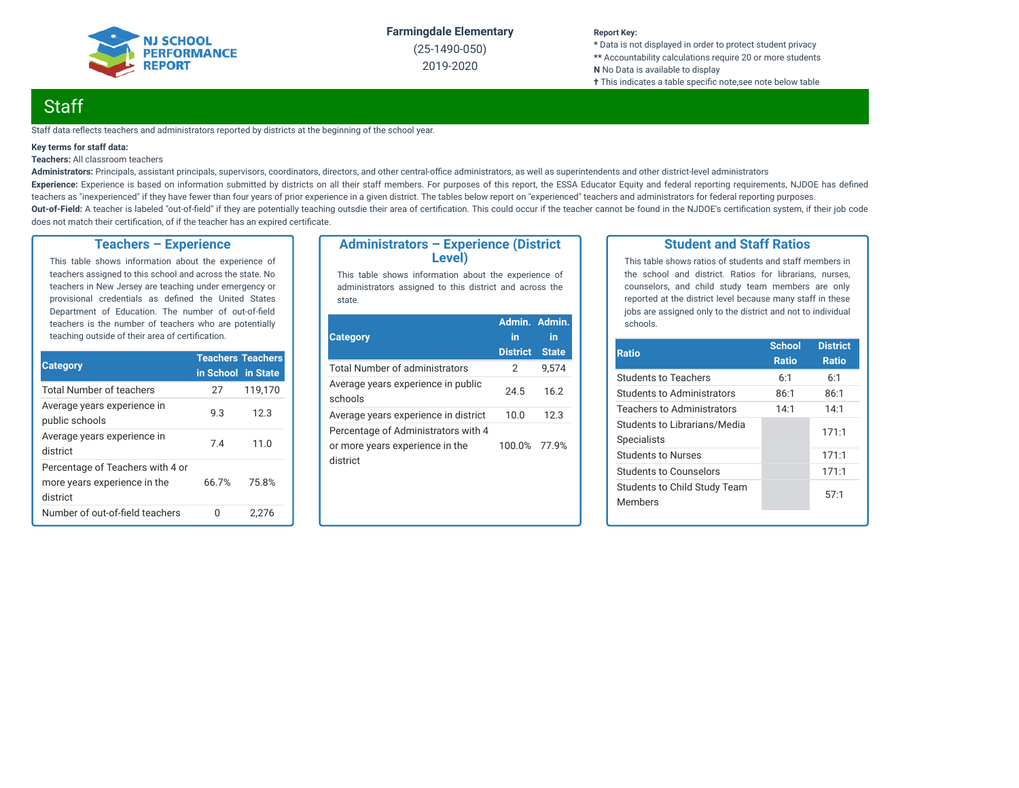

(25-1490-050) 2019-2020

#### **Report Key:**

**\*** Data is not displayed in order to protect student privacy **\*\*** Accountability calculations require 20 or more students **N** No Data is available to display **†** This indicates a table specific note, see note below table

## **Staff**

Staff data reflects teachers and administrators reported by districts at the beginning of the school year.

#### **Key terms for staff data:**

#### **Teachers:** All classroom teachers

Administrators: Principals, assistant principals, supervisors, coordinators, directors, and other central-office administrators, as well as superintendents and other district-level administrators Experience: Experience is based on information submitted by districts on all their staff members. For purposes of this report, the ESSA Educator Equity and federal reporting requirements, NJDOE has defined teachers as "inexperienced" if they have fewer than four years of prior experience in a given district. The tables below report on "experienced" teachers and administrators for federal reporting purposes. Out-of-Field: A teacher is labeled "out-of-field" if they are potentially teaching outsdie their area of certification. This could occur if the teacher cannot be found in the NJDOE's certification system, if their job code does not match their certification, of if the teacher has an expired certificate.

#### **Teachers – Experience**

This table shows information about the experience of teachers assigned to this school and across the state. No teachers in New Jersey are teaching under emergency or provisional credentials as defined the United States Department of Education. The number of out-of-field teachers is the number of teachers who are potentially teaching outside of their area of certification.

|                                                                              | <b>Teachers Teachers</b> |         |  |
|------------------------------------------------------------------------------|--------------------------|---------|--|
| <b>Category</b>                                                              | in School in State       |         |  |
| <b>Total Number of teachers</b>                                              | 27                       | 119,170 |  |
| Average years experience in<br>public schools                                | 9.3                      | 12.3    |  |
| Average years experience in<br>district                                      | 7.4                      | 11.0    |  |
| Percentage of Teachers with 4 or<br>more years experience in the<br>district | 66.7%                    | 75.8%   |  |
| Number of out-of-field teachers                                              |                          | 2.276   |  |

#### **Administrators – Experience (District Level)**

This table shows information about the experience of administrators assigned to this district and across the state.

| <b>Category</b>                                                                    | Admin. Admin.<br>in | in           |
|------------------------------------------------------------------------------------|---------------------|--------------|
|                                                                                    | <b>District</b>     | <b>State</b> |
| Total Number of administrators                                                     | 2                   | 9.574        |
| Average years experience in public<br>schools                                      | 24.5                | 16.2         |
| Average years experience in district                                               | 10.0                | 12.3         |
| Percentage of Administrators with 4<br>or more years experience in the<br>district | 100.0%              | 77.9%        |

#### **Student and Staff Ratios**

This table shows ratios of students and staff members in the school and district. Ratios for librarians, nurses, counselors, and child study team members are only reported at the district level because many staff in these jobs are assigned only to the district and not to individual schools.

| <b>Ratio</b>                                       | <b>School</b><br><b>Ratio</b> | <b>District</b><br><b>Ratio</b> |
|----------------------------------------------------|-------------------------------|---------------------------------|
| <b>Students to Teachers</b>                        | 6:1                           | 6:1                             |
| Students to Administrators                         | 86:1                          | 86:1                            |
| <b>Teachers to Administrators</b>                  | 14:1                          | 14:1                            |
| Students to Librarians/Media<br><b>Specialists</b> |                               | 171:1                           |
| Students to Nurses                                 |                               | 171:1                           |
| Students to Counselors                             |                               | 171:1                           |
| Students to Child Study Team<br><b>Members</b>     |                               | 57:1                            |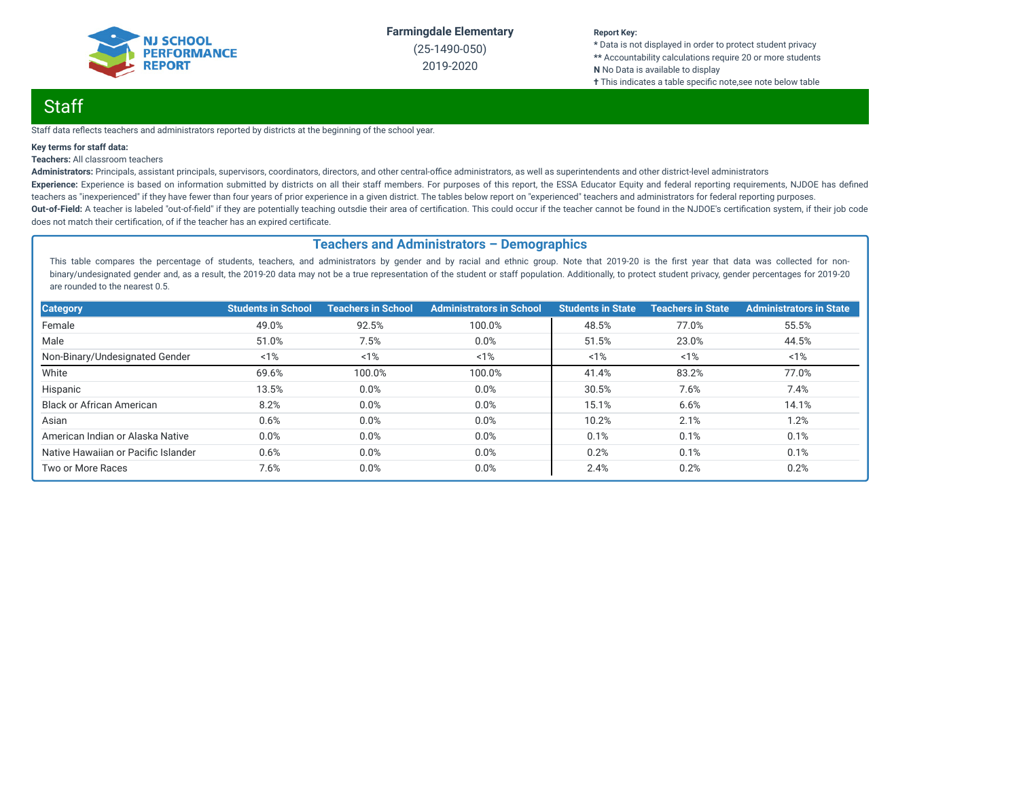

(25-1490-050) 2019-2020

#### **Report Key:**

**\*** Data is not displayed in order to protect student privacy **\*\*** Accountability calculations require 20 or more students **N** No Data is available to display **†** This indicates a table specific note, see note below table

## Staff

Staff data reflects teachers and administrators reported by districts at the beginning of the school year.

#### **Key terms for staff data:**

#### **Teachers:** All classroom teachers

Administrators: Principals, assistant principals, supervisors, coordinators, directors, and other central-office administrators, as well as superintendents and other district-level administrators Experience: Experience is based on information submitted by districts on all their staff members. For purposes of this report, the ESSA Educator Equity and federal reporting requirements, NJDOE has defined teachers as "inexperienced" if they have fewer than four years of prior experience in a given district. The tables below report on "experienced" teachers and administrators for federal reporting purposes. Out-of-Field: A teacher is labeled "out-of-field" if they are potentially teaching outsdie their area of certification. This could occur if the teacher cannot be found in the NJDOE's certification system, if their job code does not match their certification, of if the teacher has an expired certificate.

#### **Teachers and Administrators – Demographics**

This table compares the percentage of students, teachers, and administrators by gender and by racial and ethnic group. Note that 2019-20 is the first year that data was collected for nonbinary/undesignated gender and, as a result, the 2019-20 data may not be a true representation of the student or staff population. Additionally, to protect student privacy, gender percentages for 2019-20 are rounded to the nearest 0.5.

| <b>Category</b>                     | <b>Students in School</b> | <b>Teachers in School</b> | <b>Administrators in School</b> | <b>Students in State</b> | <b>Teachers in State</b> | <b>Administrators in State</b> |
|-------------------------------------|---------------------------|---------------------------|---------------------------------|--------------------------|--------------------------|--------------------------------|
| Female                              | 49.0%                     | 92.5%                     | 100.0%                          | 48.5%                    | 77.0%                    | 55.5%                          |
| Male                                | 51.0%                     | 7.5%                      | 0.0%                            | 51.5%                    | 23.0%                    | 44.5%                          |
| Non-Binary/Undesignated Gender      | 1%                        | 1%                        | 1%                              | 1%                       | 1%                       | $1\%$                          |
| White                               | 69.6%                     | 100.0%                    | 100.0%                          | 41.4%                    | 83.2%                    | 77.0%                          |
| Hispanic                            | 13.5%                     | 0.0%                      | 0.0%                            | 30.5%                    | 7.6%                     | 7.4%                           |
| <b>Black or African American</b>    | 8.2%                      | 0.0%                      | 0.0%                            | 15.1%                    | 6.6%                     | 14.1%                          |
| Asian                               | 0.6%                      | 0.0%                      | 0.0%                            | 10.2%                    | 2.1%                     | 1.2%                           |
| American Indian or Alaska Native    | 0.0%                      | 0.0%                      | 0.0%                            | 0.1%                     | 0.1%                     | 0.1%                           |
| Native Hawaiian or Pacific Islander | 0.6%                      | 0.0%                      | 0.0%                            | 0.2%                     | 0.1%                     | 0.1%                           |
| Two or More Races                   | 7.6%                      | 0.0%                      | 0.0%                            | 2.4%                     | 0.2%                     | 0.2%                           |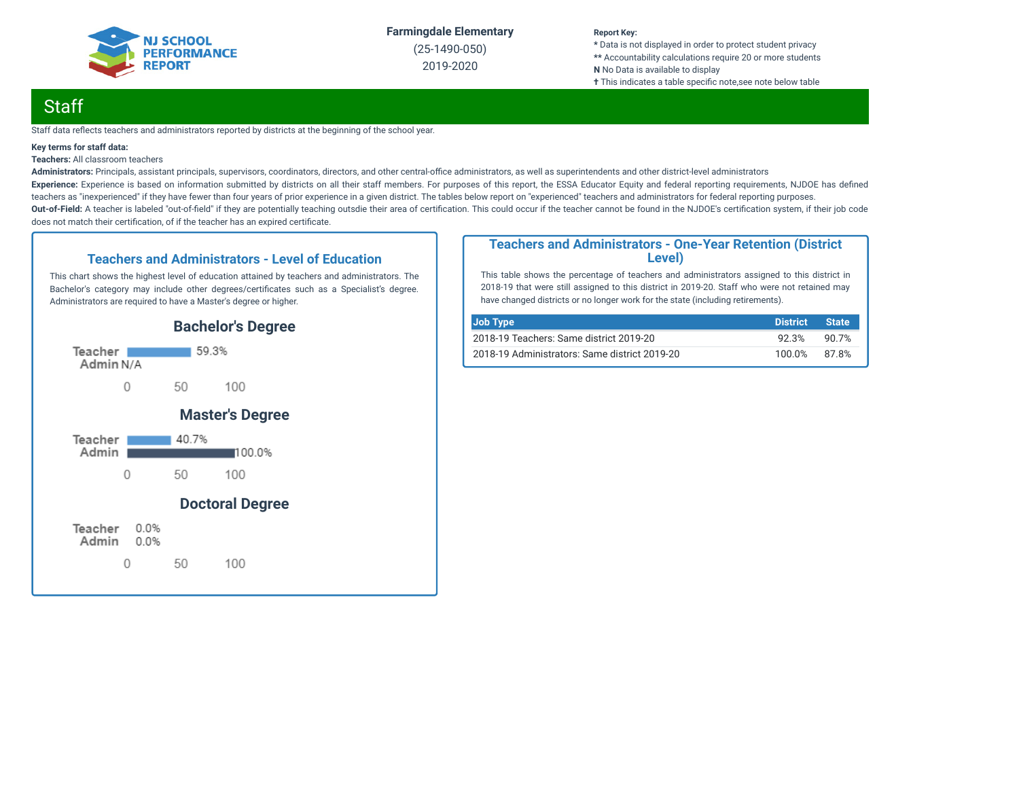

(25-1490-050) 2019-2020

#### **Report Key:**

**\*** Data is not displayed in order to protect student privacy **\*\*** Accountability calculations require 20 or more students **N** No Data is available to display **†** This indicates a table specific note, see note below table

## **Staff**

Staff data reflects teachers and administrators reported by districts at the beginning of the school year.

#### **Key terms for staff data:**

**Teachers:** All classroom teachers

Administrators: Principals, assistant principals, supervisors, coordinators, directors, and other central-office administrators, as well as superintendents and other district-level administrators Experience: Experience is based on information submitted by districts on all their staff members. For purposes of this report, the ESSA Educator Equity and federal reporting requirements, NJDOE has defined teachers as "inexperienced" if they have fewer than four years of prior experience in a given district. The tables below report on "experienced" teachers and administrators for federal reporting purposes. Out-of-Field: A teacher is labeled "out-of-field" if they are potentially teaching outsdie their area of certification. This could occur if the teacher cannot be found in the NJDOE's certification system, if their job code does not match their certification, of if the teacher has an expired certificate.

#### **Teachers and Administrators - Level of Education**

This chart shows the highest level of education attained by teachers and administrators. The Bachelor's category may include other degrees/certificates such as a Specialist's degree. Administrators are required to have a Master's degree or higher.



#### **Teachers and Administrators - One-Year Retention (District Level)**

This table shows the percentage of teachers and administrators assigned to this district in 2018-19 that were still assigned to this district in 2019-20. Staff who were not retained may have changed districts or no longer work for the state (including retirements).

| Job Type                                      | <b>District</b> | <b>State</b> |
|-----------------------------------------------|-----------------|--------------|
| 2018-19 Teachers: Same district 2019-20       | 92.3%           | 90.7%        |
| 2018-19 Administrators: Same district 2019-20 | 100.0%          | 87.8%        |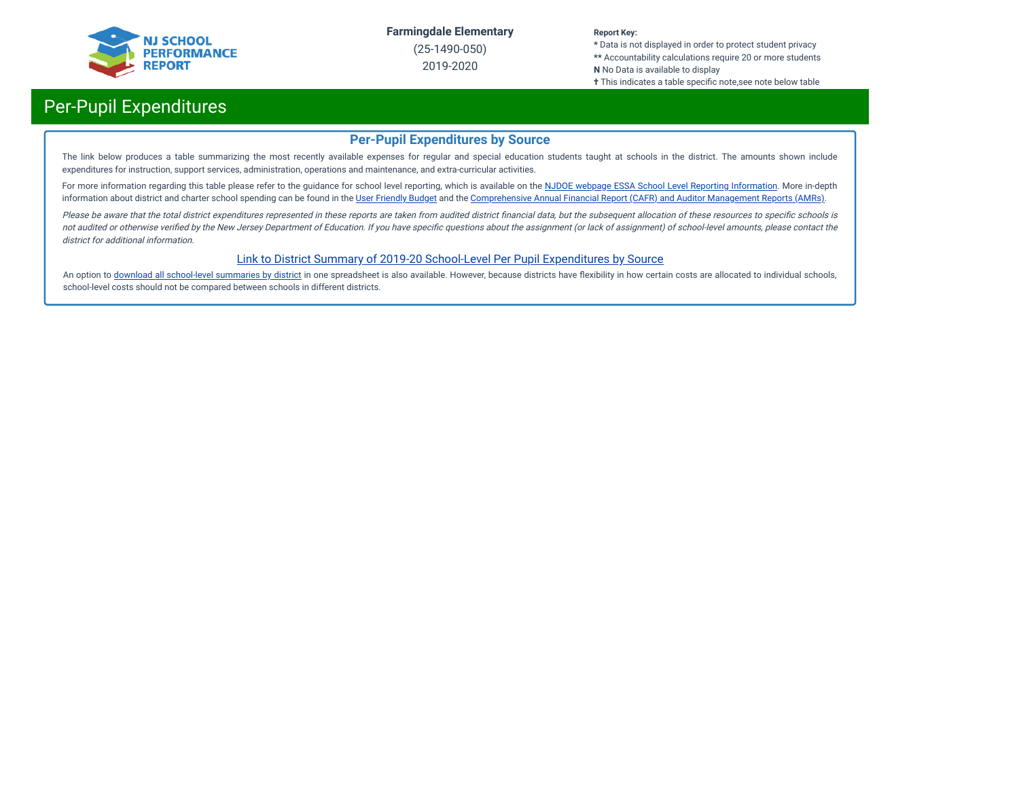

(25-1490-050) 2019-2020

#### **Report Key:**

**\*** Data is not displayed in order to protect student privacy **\*\*** Accountability calculations require 20 or more students **N** No Data is available to display

**†** This indicates a table specific note,see note below table

## Per-Pupil Expenditures

#### **Per-Pupil Expenditures by Source**

The link below produces a table summarizing the most recently available expenses for regular and special education students taught at schools in the district. The amounts shown include expenditures for instruction, support services, administration, operations and maintenance, and extra-curricular activities.

For more information regarding this table please refer to the guidance for school level reporting, which is available on the NJDOE webpage ESSA School Level Reporting [Information](https://www.nj.gov/education/finance/fp/af/essa.shtml). More in-depth information about district and charter school spending can be found in the User [Friendly](https://www.nj.gov/education/finance/fp/ufb/) Budget and the [Comprehensive](https://www.nj.gov/education/finance/fp/cafr/search/) Annual Financial Report (CAFR) and Auditor Management Reports (AMRs).

Please be aware that the total district expenditures represented in these reports are taken from audited district financial data, but the subsequent allocation of these resources to specific schools is not audited or otherwise verified by the New Jersey Department of Education. If you have specific questions about the assignment (or lack of assignment) of school-level amounts, please contact the district for additional information.

#### [Link to District Summary of 2019-20 School-Level Per Pupil Expenditures by Source](https://homeroom4.doe.state.nj.us/audsum/PpeReport?&did=1490&fileformat=html&reportname=PERFORMREPORT&fy=20)

An option to download all [school-level](https://homeroom4.doe.state.nj.us/audsum/PpeReport?&did=9999&fileformat=html&reportname=PERFORMREPORT&fy=20) summaries by district in one spreadsheet is also available. However, because districts have flexibility in how certain costs are allocated to individual schools, school-level costs should not be compared between schools in different districts.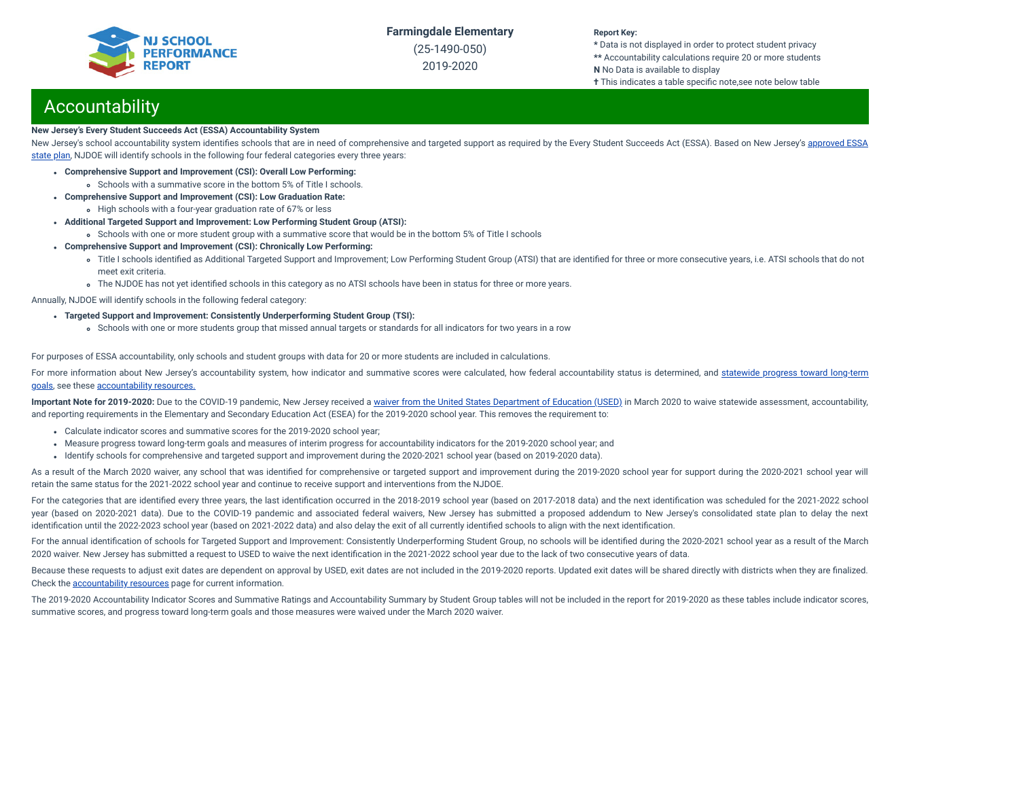

(25-1490-050) 2019-2020

#### **Report Key:**

**\*** Data is not displayed in order to protect student privacy **\*\*** Accountability calculations require 20 or more students **N** No Data is available to display

**†** This indicates a table specific note,see note below table

## **Accountability**

#### **New Jersey's Every Student Succeeds Act (ESSA) Accountability System**

New Jersey's school accountability system identifies schools that are in need of [comprehensive](https://www.nj.gov/education/ESSA/plan/plan.pdf) and targeted support as required by the Every Student Succeeds Act (ESSA). Based on New Jersey's approved ESSA state plan, NJDOE will identify schools in the following four federal categories every three years:

- **Comprehensive Support and Improvement (CSI): Overall Low Performing:**
	- Schools with a summative score in the bottom 5% of Title I schools.
- **Comprehensive Support and Improvement (CSI): Low Graduation Rate:**
- High schools with a four-year graduation rate of 67% or less
- **Additional Targeted Support and Improvement: Low Performing Student Group (ATSI):**
	- Schools with one or more student group with a summative score that would be in the bottom 5% of Title I schools
- **Comprehensive Support and Improvement (CSI): Chronically Low Performing:**
	- o Title I schools identified as Additional Targeted Support and Improvement; Low Performing Student Group (ATSI) that are identified for three or more consecutive years, i.e. ATSI schools that do not meet exit criteria.
	- The NJDOE has not yet identified schools in this category as no ATSI schools have been in status for three or more years.

Annually, NJDOE will identify schools in the following federal category:

- **Targeted Support and Improvement: Consistently Underperforming Student Group (TSI):**
	- Schools with one or more students group that missed annual targets or standards for all indicators for two years in a row

For purposes of ESSA accountability, only schools and student groups with data for 20 or more students are included in calculations.

For more information about New Jersey's [accountability](https://www.state.nj.us/education/title1/accountability/progress/19/2018-19%20Statewide%20Progress%20toward%20Long-Term%20Goals.pdf) system, how indicator and summative scores were calculated, how federal accountability status is determined, and statewide progress toward long-term goals, see these [accountability](https://www.state.nj.us/education/title1/accountability/progress/20) resources.

Important Note for 2019-2020: Due to the COVID-19 pandemic, New Jersey received a waiver from the United States [Department](https://www.nj.gov/education/covid19/news/docs/Accountability%20and%20School%20Identification,%20and%20Reporting%20Requirement%20Waiver%20Word.pdf) of Education (USED) in March 2020 to waive statewide assessment, accountability, and reporting requirements in the Elementary and Secondary Education Act (ESEA) for the 2019-2020 school year. This removes the requirement to:

- Calculate indicator scores and summative scores for the 2019-2020 school year;
- Measure progress toward long-term goals and measures of interim progress for accountability indicators for the 2019-2020 school year; and
- Identify schools for comprehensive and targeted support and improvement during the 2020-2021 school year (based on 2019-2020 data).

As a result of the March 2020 waiver, any school that was identified for comprehensive or targeted support and improvement during the 2019-2020 school year for support during the 2020-2021 school year will retain the same status for the 2021-2022 school year and continue to receive support and interventions from the NJDOE.

For the categories that are identified every three years, the last identification occurred in the 2018-2019 school year (based on 2017-2018 data) and the next identification was scheduled for the 2021-2022 school year (based on 2020-2021 data). Due to the COVID-19 pandemic and associated federal waivers, New Jersey has submitted a proposed addendum to New Jersey's consolidated state plan to delay the next identification until the 2022-2023 school year (based on 2021-2022 data) and also delay the exit of all currently identified schools to align with the next identification.

For the annual identification of schools for Targeted Support and Improvement: Consistently Underperforming Student Group, no schools will be identified during the 2020-2021 school year as a result of the March 2020 waiver. New Jersey has submitted a request to USED to waive the next identification in the 2021-2022 school year due to the lack of two consecutive years of data.

Because these requests to adjust exit dates are dependent on approval by USED, exit dates are not included in the 2019-2020 reports. Updated exit dates will be shared directly with districts when they are finalized. Check the [accountability](https://www.state.nj.us/education/title1/accountability/progress/20) resources page for current information.

The 2019-2020 Accountability Indicator Scores and Summative Ratings and Accountability Summary by Student Group tables will not be included in the report for 2019-2020 as these tables include indicator scores, summative scores, and progress toward long-term goals and those measures were waived under the March 2020 waiver.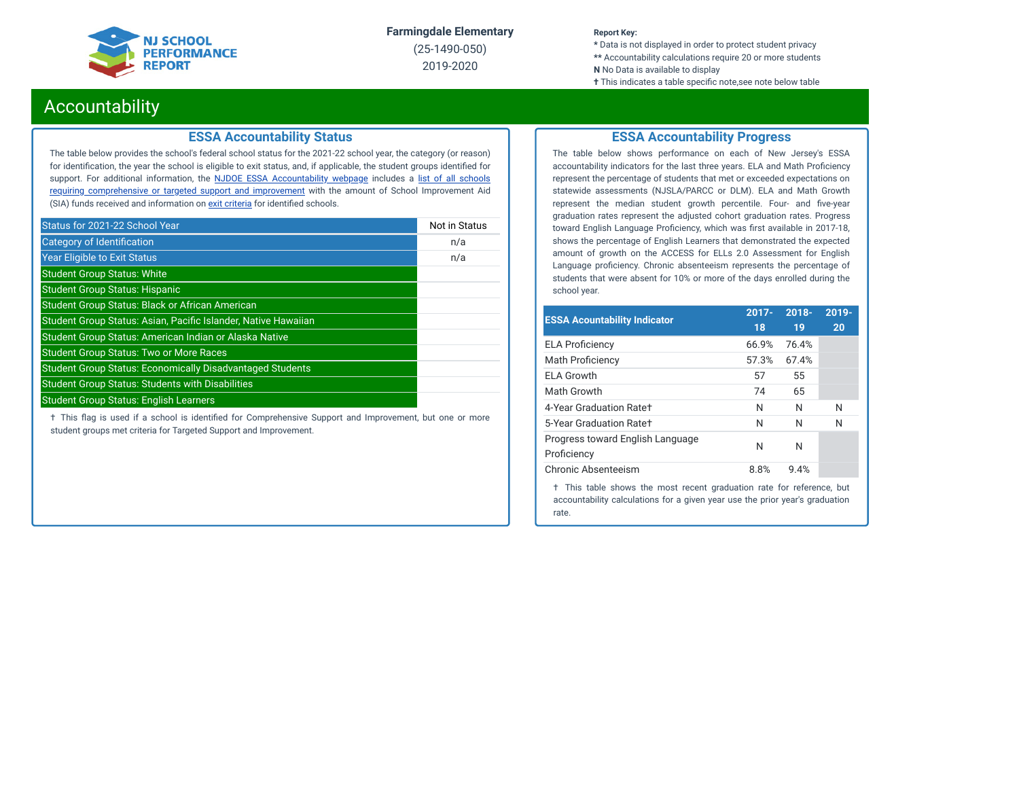

(25-1490-050) 2019-2020

#### **Report Key:**

**\*** Data is not displayed in order to protect student privacy **\*\*** Accountability calculations require 20 or more students **N** No Data is available to display

#### **†** This indicates a table specific note, see note below table

### Accountability

#### **ESSA Accountability Status**

The table below provides the school's federal school status for the 2021-22 school year, the category (or reason) for identification, the year the school is eligible to exit status, and, if applicable, the student groups identified for support. For additional information, the **NJDOE ESSA [Accountability](https://www.state.nj.us/education/title1/accountability/progress/20/) webpage** includes a list of all schools requiring [comprehensive](https://www.state.nj.us/education/title1/accountability/progress/19/CAP%20Comprehensive_Targeted_Schools.xlsx) or targeted support and improvement with the amount of School Improvement Aid (SIA) funds received and information on exit [criteria](https://www.state.nj.us/education/title1/accountability/progress/20/ESSAExitCriteriaDocument.pdf) for identified schools.

| Status for 2021-22 School Year                                   | Not in Status |
|------------------------------------------------------------------|---------------|
| Category of Identification                                       | n/a           |
| <b>Year Eligible to Exit Status</b>                              | n/a           |
| <b>Student Group Status: White</b>                               |               |
| <b>Student Group Status: Hispanic</b>                            |               |
| <b>Student Group Status: Black or African American</b>           |               |
| Student Group Status: Asian, Pacific Islander, Native Hawaiian   |               |
| Student Group Status: American Indian or Alaska Native           |               |
| <b>Student Group Status: Two or More Races</b>                   |               |
| <b>Student Group Status: Economically Disadvantaged Students</b> |               |
| <b>Student Group Status: Students with Disabilities</b>          |               |
| <b>Student Group Status: English Learners</b>                    |               |

 $\dagger$  This flag is used if a school is identified for Comprehensive Support and Improvement, but one or more student groups met criteria for Targeted Support and Improvement.

#### **ESSA Accountability Progress**

The table below shows performance on each of New Jersey's ESSA accountability indicators for the last three years. ELA and Math Proficiency represent the percentage of students that met or exceeded expectations on statewide assessments (NJSLA/PARCC or DLM). ELA and Math Growth represent the median student growth percentile. Four- and five-year graduation rates represent the adjusted cohort graduation rates. Progress toward English Language Proficiency, which was first available in 2017-18, shows the percentage of English Learners that demonstrated the expected amount of growth on the ACCESS for ELLs 2.0 Assessment for English Language proficiency. Chronic absenteeism represents the percentage of students that were absent for 10% or more of the days enrolled during the school year.

| <b>ESSA Acountability Indicator</b>             | $2017 -$<br>18 | $2018 -$<br>19 | 2019-<br>20 |
|-------------------------------------------------|----------------|----------------|-------------|
| <b>ELA Proficiency</b>                          | 66.9%          | 76.4%          |             |
| <b>Math Proficiency</b>                         | 57.3%          | 67.4%          |             |
| <b>ELA Growth</b>                               | 57             | 55             |             |
| Math Growth                                     | 74             | 65             |             |
| 4-Year Graduation Rate+                         | N              | N              | N           |
| 5-Year Graduation Rate+                         | N              | N              | N           |
| Progress toward English Language<br>Proficiency | N              | N              |             |
| Chronic Absenteeism                             | 8.8%           | 9.4%           |             |
|                                                 |                |                |             |

† This table shows the most recent graduation rate for reference, but accountability calculations for a given year use the prior year's graduation rate.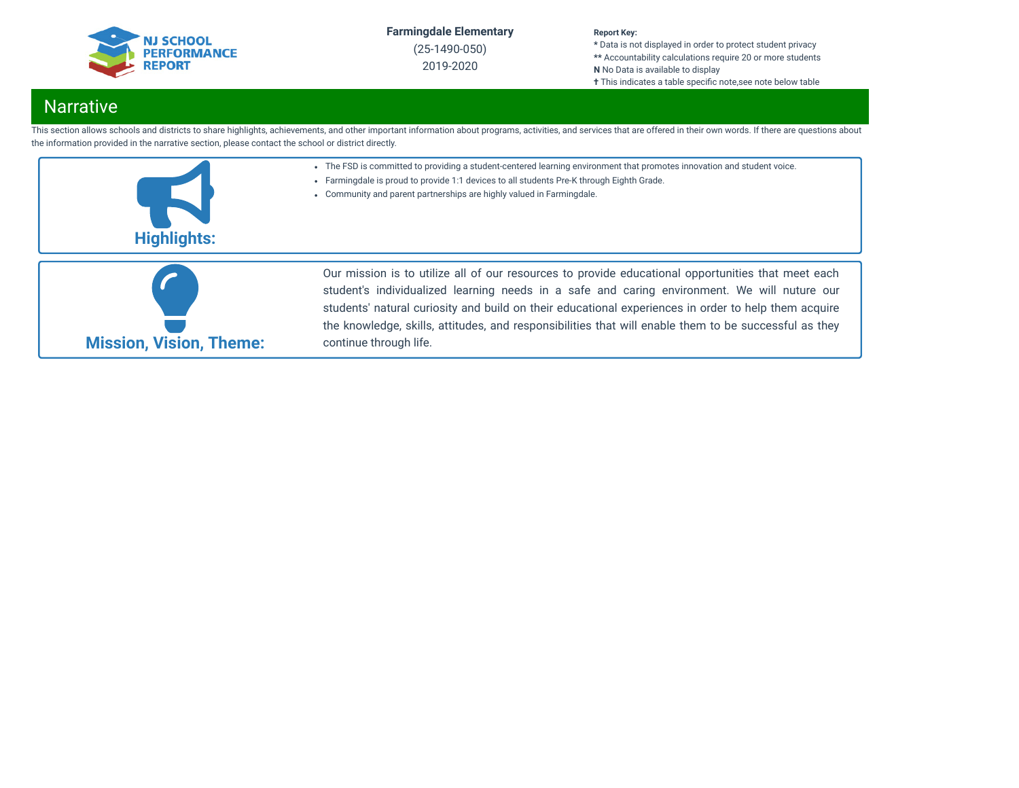

(25-1490-050) 2019-2020

#### **Report Key:**

**\*** Data is not displayed in order to protect student privacy **\*\*** Accountability calculations require 20 or more students **N** No Data is available to display **†** This indicates a table specific note, see note below table

## **Narrative**

This section allows schools and districts to share highlights, achievements, and other important information about programs, activities, and services that are offered in their own words. If there are questions about the information provided in the narrative section, please contact the school or district directly.

- The FSD is committed to providing a student-centered learning environment that promotes innovation and student voice.
- Farmingdale is proud to provide 1:1 devices to all students Pre-K through Eighth Grade.
- Community and parent partnerships are highly valued in Farmingdale.





Our mission is to utilize all of our resources to provide educational opportunities that meet each student's individualized learning needs in a safe and caring environment. We will nuture our students' natural curiosity and build on their educational experiences in order to help them acquire the knowledge, skills, attitudes, and responsibilities that will enable them to be successful as they continue through life.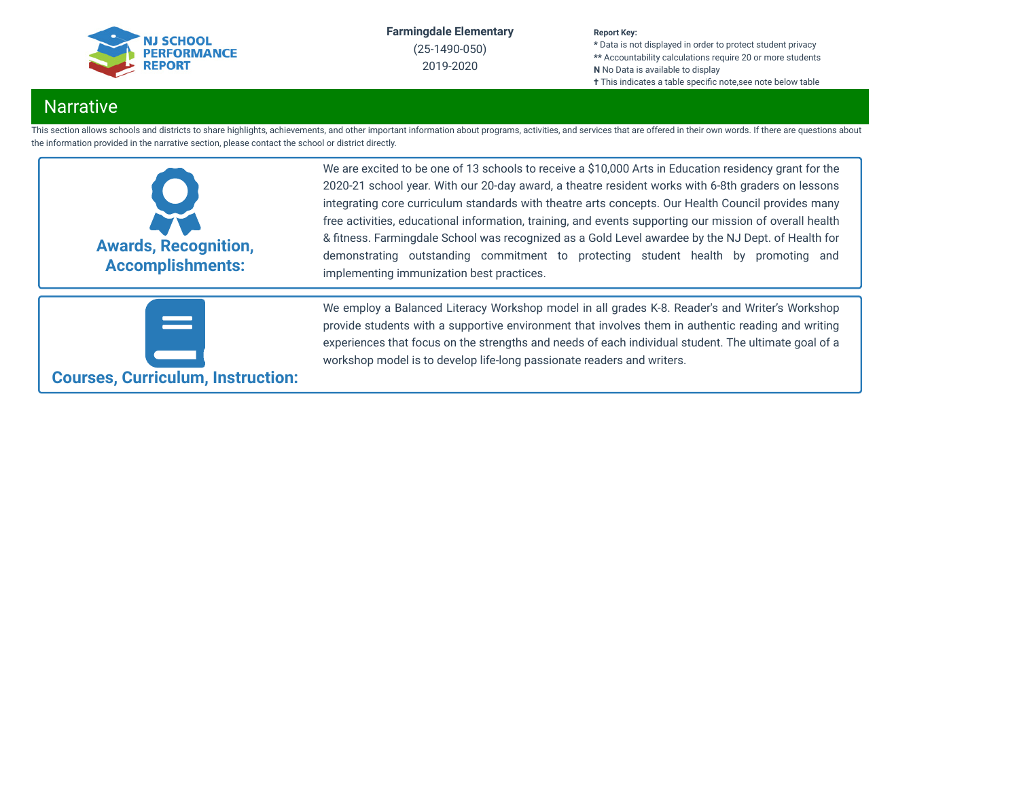

(25-1490-050) 2019-2020

#### **Report Key:**

**\*** Data is not displayed in order to protect student privacy **\*\*** Accountability calculations require 20 or more students **N** No Data is available to display **†** This indicates a table specific note,see note below table

## **Narrative**

This section allows schools and districts to share highlights, achievements, and other important information about programs, activities, and services that are offered in their own words. If there are questions about the information provided in the narrative section, please contact the school or district directly.



We are excited to be one of 13 schools to receive a \$10,000 Arts in Education residency grant for the 2020-21 school year. With our 20-day award, a theatre resident works with 6-8th graders on lessons integrating core curriculum standards with theatre arts concepts. Our Health Council provides many free activities, educational information, training, and events supporting our mission of overall health & fitness. Farmingdale School was recognized as a Gold Level awardee by the NJ Dept. of Health for demonstrating outstanding commitment to protecting student health by promoting and implementing immunization best practices.



We employ a Balanced Literacy Workshop model in all grades K-8. Reader's and Writer's Workshop provide students with a supportive environment that involves them in authentic reading and writing experiences that focus on the strengths and needs of each individual student. The ultimate goal of a workshop model is to develop life-long passionate readers and writers.

**Courses, Curriculum, Instruction:**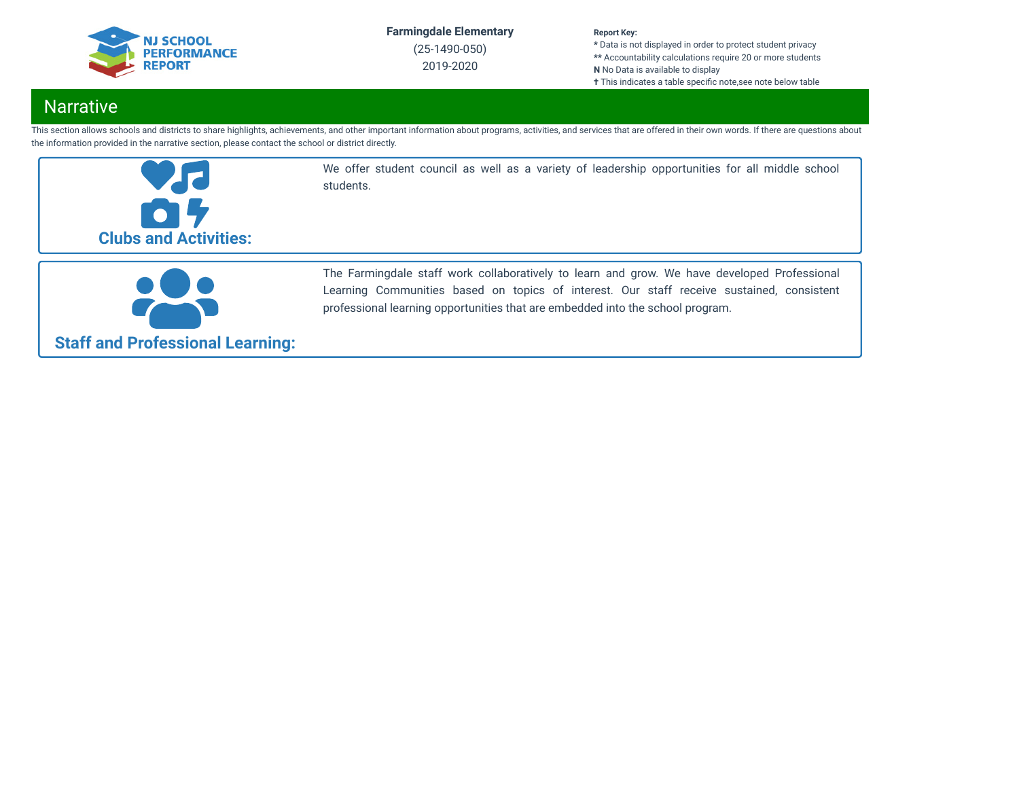

(25-1490-050) 2019-2020

#### **Report Key:**

**\*** Data is not displayed in order to protect student privacy **\*\*** Accountability calculations require 20 or more students **N** No Data is available to display **†** This indicates a table specific note, see note below table

## **Narrative**

This section allows schools and districts to share highlights, achievements, and other important information about programs, activities, and services that are offered in their own words. If there are questions about the information provided in the narrative section, please contact the school or district directly.



We offer student council as well as a variety of leadership opportunities for all middle school students.



The Farmingdale staff work collaboratively to learn and grow. We have developed Professional Learning Communities based on topics of interest. Our staff receive sustained, consistent professional learning opportunities that are embedded into the school program.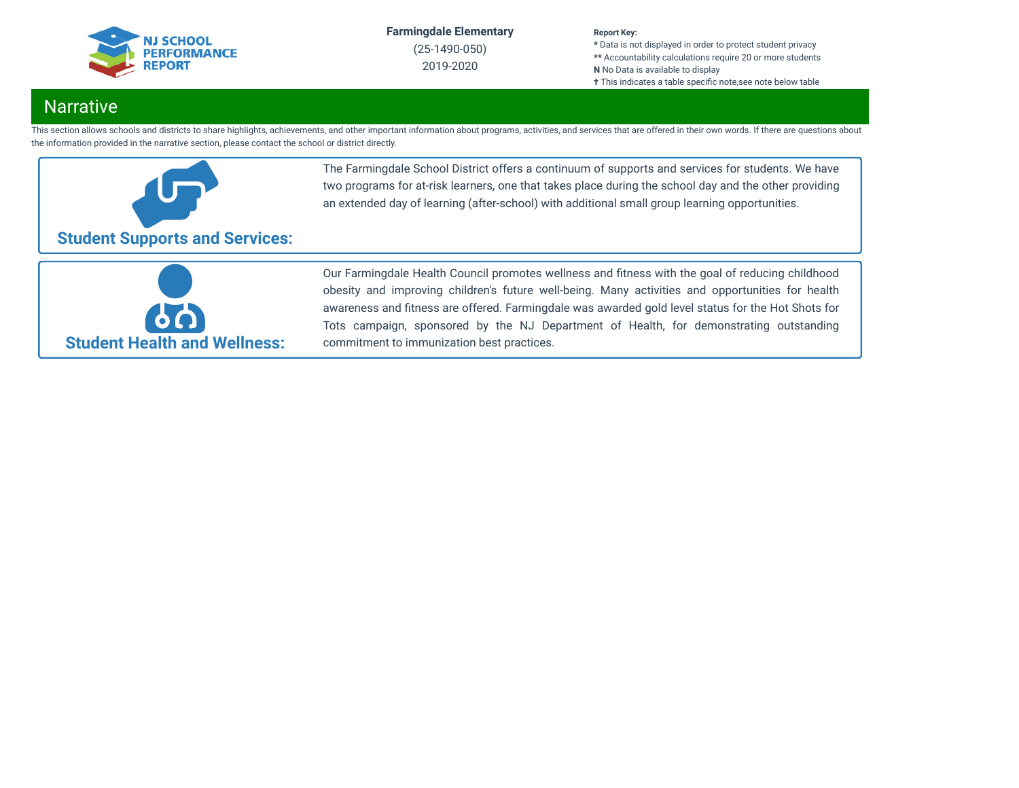

(25-1490-050) 2019-2020

#### **Report Key:**

**\*** Data is not displayed in order to protect student privacy **\*\*** Accountability calculations require 20 or more students **N** No Data is available to display **†** This indicates a table specific note, see note below table

## Narrative

This section allows schools and districts to share highlights, achievements, and other important information about programs, activities, and services that are offered in their own words. If there are questions about the information provided in the narrative section, please contact the school or district directly.



The Farmingdale School District offers a continuum of supports and services for students. We have two programs for at-risk learners, one that takes place during the school day and the other providing an extended day of learning (after-school) with additional small group learning opportunities.



Our Farmingdale Health Council promotes wellness and fitness with the goal of reducing childhood obesity and improving children's future well-being. Many activities and opportunities for health awareness and fitness are offered. Farmingdale was awarded gold level status for the Hot Shots for Tots campaign, sponsored by the NJ Department of Health, for demonstrating outstanding commitment to immunization best practices.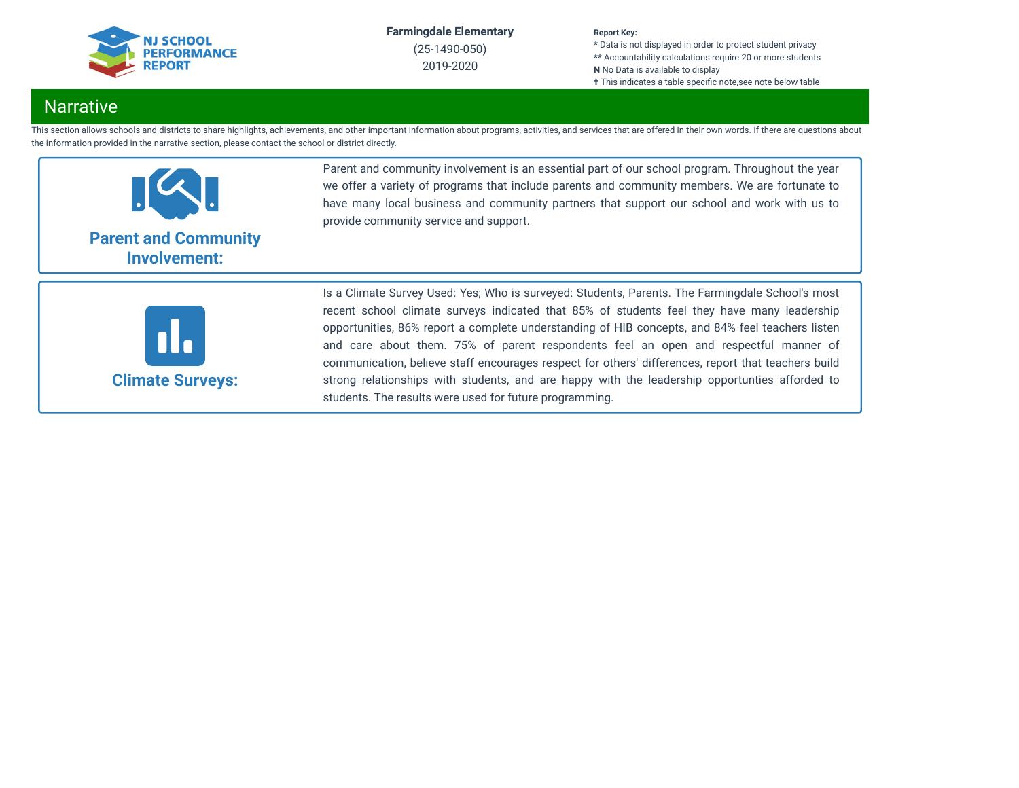

(25-1490-050) 2019-2020

#### **Report Key:**

**\*** Data is not displayed in order to protect student privacy **\*\*** Accountability calculations require 20 or more students **N** No Data is available to display **†** This indicates a table specific note, see note below table

## **Narrative**

This section allows schools and districts to share highlights, achievements, and other important information about programs, activities, and services that are offered in their own words. If there are questions about the information provided in the narrative section, please contact the school or district directly.



Parent and community involvement is an essential part of our school program. Throughout the year we offer a variety of programs that include parents and community members. We are fortunate to have many local business and community partners that support our school and work with us to provide community service and support.



Is a Climate Survey Used: Yes; Who is surveyed: Students, Parents. The Farmingdale School's most recent school climate surveys indicated that 85% of students feel they have many leadership opportunities, 86% report a complete understanding of HIB concepts, and 84% feel teachers listen and care about them. 75% of parent respondents feel an open and respectful manner of communication, believe staff encourages respect for others' differences, report that teachers build strong relationships with students, and are happy with the leadership opportunties afforded to students. The results were used for future programming.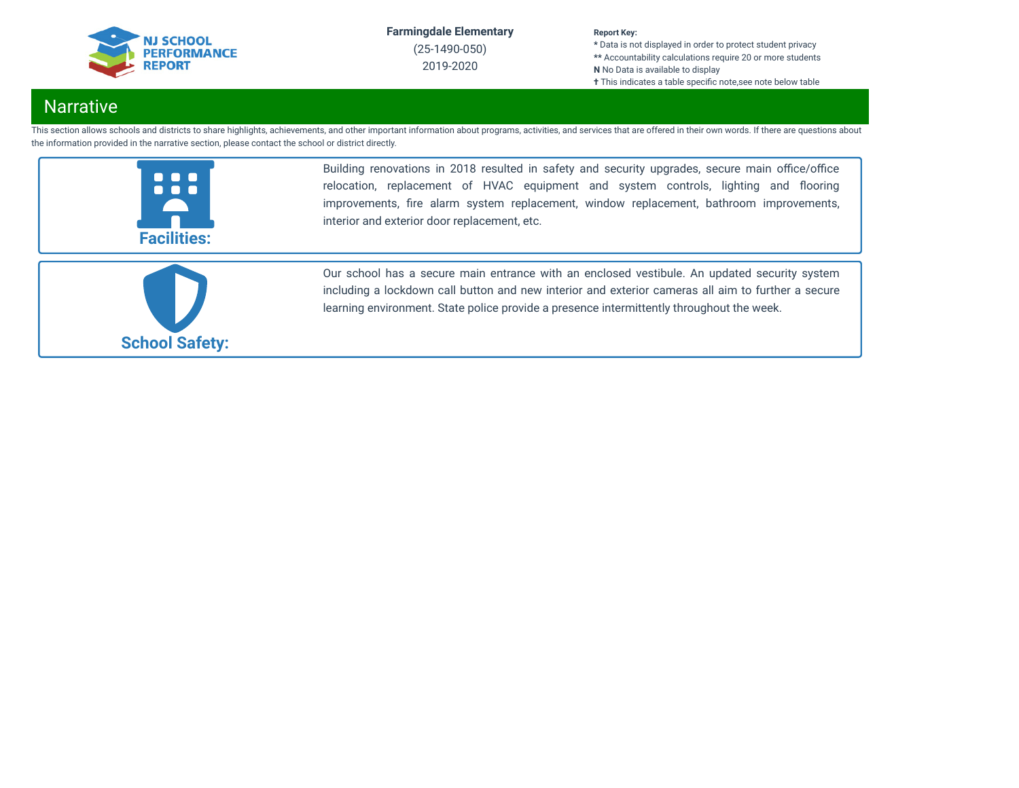

(25-1490-050) 2019-2020

#### **Report Key:**

**\*** Data is not displayed in order to protect student privacy **\*\*** Accountability calculations require 20 or more students **N** No Data is available to display **†** This indicates a table specific note, see note below table

## **Narrative**

This section allows schools and districts to share highlights, achievements, and other important information about programs, activities, and services that are offered in their own words. If there are questions about the information provided in the narrative section, please contact the school or district directly.



Building renovations in 2018 resulted in safety and security upgrades, secure main office/office relocation, replacement of HVAC equipment and system controls, lighting and flooring improvements, fire alarm system replacement, window replacement, bathroom improvements, interior and exterior door replacement, etc.



Our school has a secure main entrance with an enclosed vestibule. An updated security system including a lockdown call button and new interior and exterior cameras all aim to further a secure learning environment. State police provide a presence intermittently throughout the week.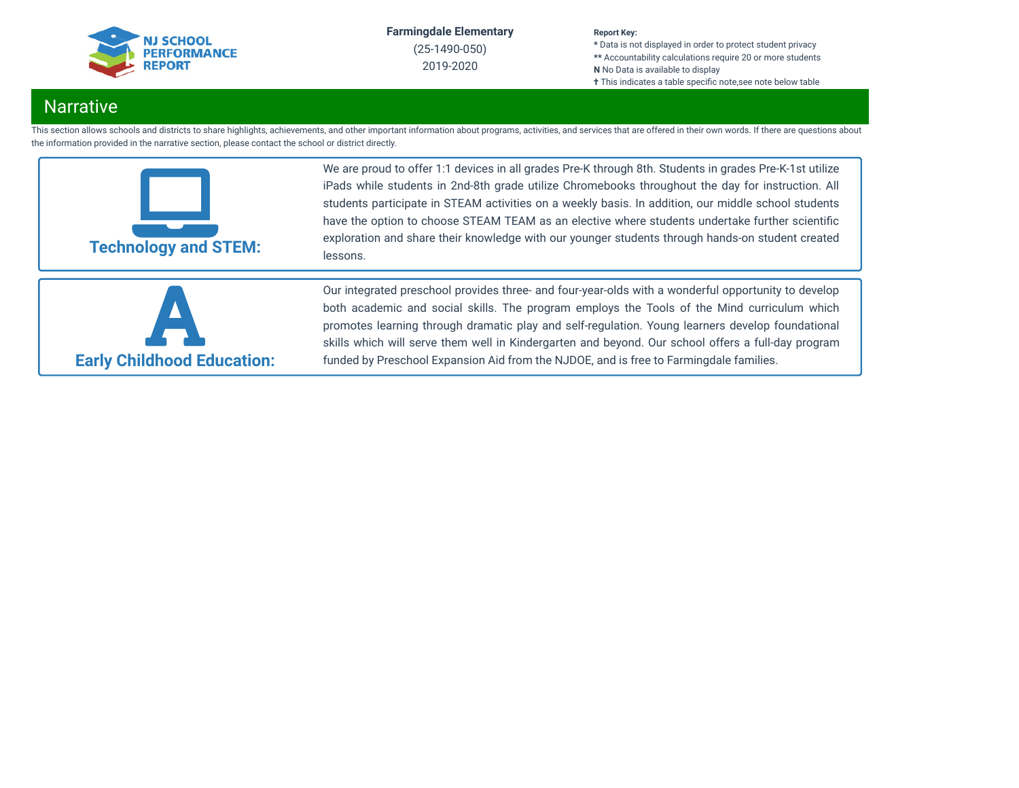

(25-1490-050) 2019-2020

#### **Report Key:**

**\*** Data is not displayed in order to protect student privacy **\*\*** Accountability calculations require 20 or more students **N** No Data is available to display **†** This indicates a table specific note, see note below table

## **Narrative**

This section allows schools and districts to share highlights, achievements, and other important information about programs, activities, and services that are offered in their own words. If there are questions about the information provided in the narrative section, please contact the school or district directly.



We are proud to offer 1:1 devices in all grades Pre-K through 8th. Students in grades Pre-K-1st utilize iPads while students in 2nd-8th grade utilize Chromebooks throughout the day for instruction. All students participate in STEAM activities on a weekly basis. In addition, our middle school students have the option to choose STEAM TEAM as an elective where students undertake further scientific exploration and share their knowledge with our younger students through hands-on student created lessons.



Our integrated preschool provides three- and four-year-olds with a wonderful opportunity to develop both academic and social skills. The program employs the Tools of the Mind curriculum which promotes learning through dramatic play and self-regulation. Young learners develop foundational skills which will serve them well in Kindergarten and beyond. Our school offers a full-day program funded by Preschool Expansion Aid from the NJDOE, and is free to Farmingdale families.